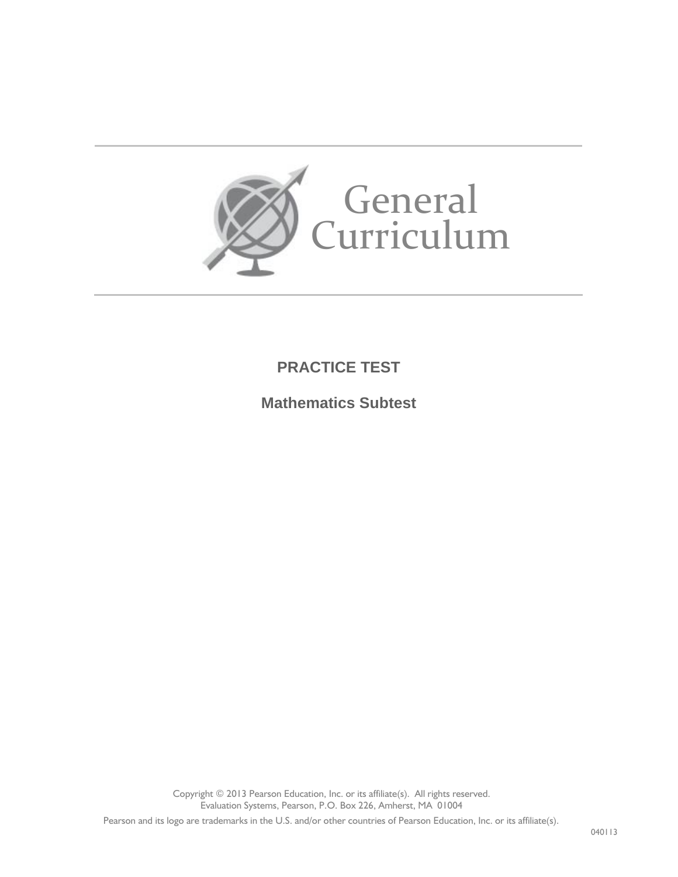

## **PRACTICE TEST**

**Mathematics Subtest**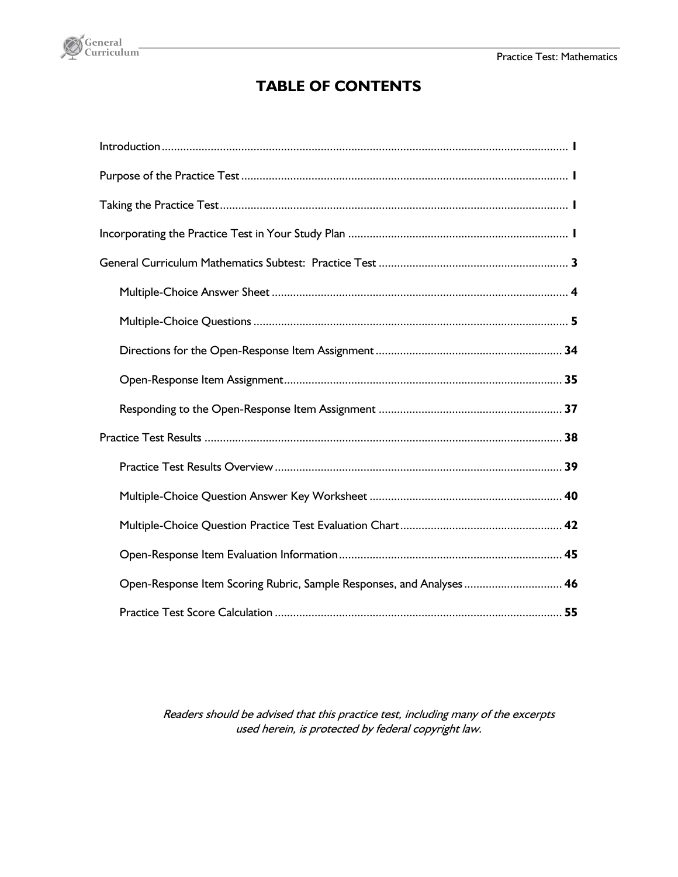

### **TABLE OF CONTENTS**

| Open-Response Item Scoring Rubric, Sample Responses, and Analyses 46 |
|----------------------------------------------------------------------|
|                                                                      |

Readers should be advised that this practice test, including many of the excerpts used herein, is protected by federal copyright law.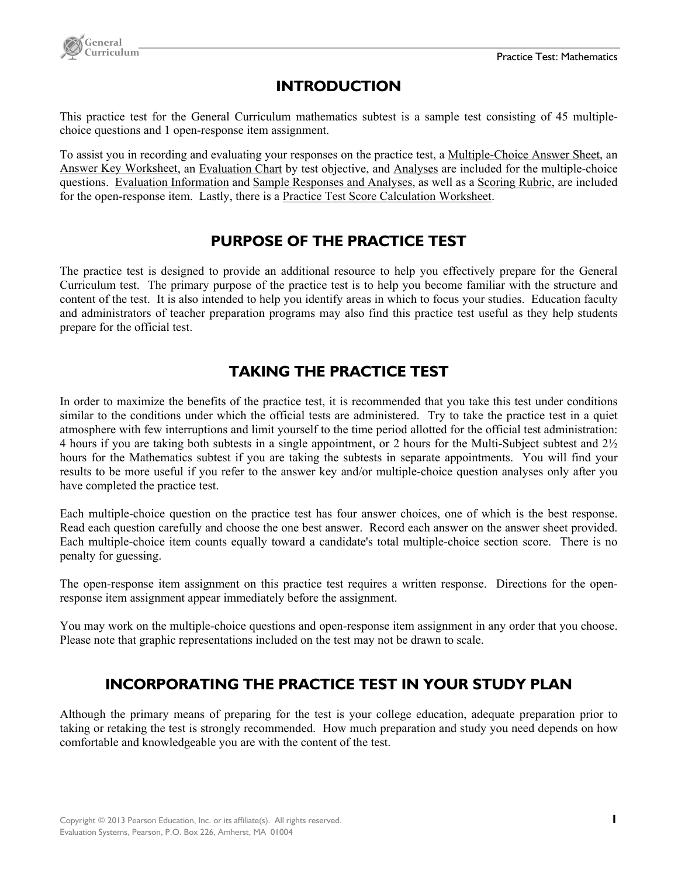

### **INTRODUCTION**

This practice test for the General Curriculum mathematics subtest is a sample test consisting of 45 multiplechoice questions and 1 open-response item assignment.

To assist you in recording and evaluating your responses on the practice test, a Multiple-Choice Answer Sheet, an Answer Key Worksheet, an Evaluation Chart by test objective, and Analyses are included for the multiple-choice questions. Evaluation Information and Sample Responses and Analyses, as well as a Scoring Rubric, are included for the open-response item. Lastly, there is a Practice Test Score Calculation Worksheet.

### **PURPOSE OF THE PRACTICE TEST**

The practice test is designed to provide an additional resource to help you effectively prepare for the General Curriculum test. The primary purpose of the practice test is to help you become familiar with the structure and content of the test. It is also intended to help you identify areas in which to focus your studies. Education faculty and administrators of teacher preparation programs may also find this practice test useful as they help students prepare for the official test.

### **TAKING THE PRACTICE TEST**

In order to maximize the benefits of the practice test, it is recommended that you take this test under conditions similar to the conditions under which the official tests are administered. Try to take the practice test in a quiet atmosphere with few interruptions and limit yourself to the time period allotted for the official test administration: 4 hours if you are taking both subtests in a single appointment, or 2 hours for the Multi-Subject subtest and 2½ hours for the Mathematics subtest if you are taking the subtests in separate appointments. You will find your results to be more useful if you refer to the answer key and/or multiple-choice question analyses only after you have completed the practice test.

Each multiple-choice question on the practice test has four answer choices, one of which is the best response. Read each question carefully and choose the one best answer. Record each answer on the answer sheet provided. Each multiple-choice item counts equally toward a candidate's total multiple-choice section score. There is no penalty for guessing.

The open-response item assignment on this practice test requires a written response. Directions for the openresponse item assignment appear immediately before the assignment.

You may work on the multiple-choice questions and open-response item assignment in any order that you choose. Please note that graphic representations included on the test may not be drawn to scale.

### **INCORPORATING THE PRACTICE TEST IN YOUR STUDY PLAN**

Although the primary means of preparing for the test is your college education, adequate preparation prior to taking or retaking the test is strongly recommended. How much preparation and study you need depends on how comfortable and knowledgeable you are with the content of the test.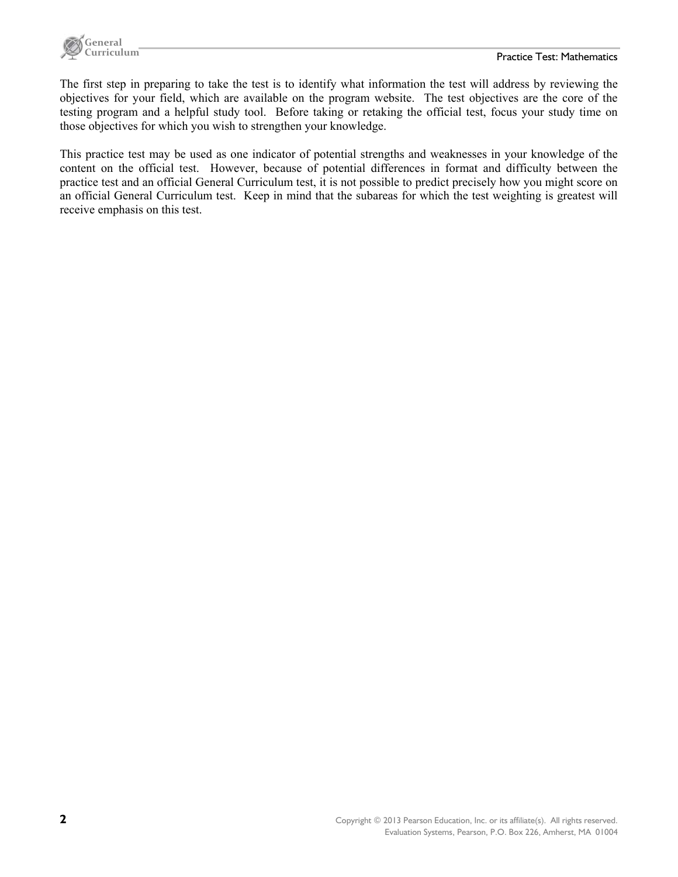

The first step in preparing to take the test is to identify what information the test will address by reviewing the objectives for your field, which are available on the program website. The test objectives are the core of the testing program and a helpful study tool. Before taking or retaking the official test, focus your study time on those objectives for which you wish to strengthen your knowledge.

This practice test may be used as one indicator of potential strengths and weaknesses in your knowledge of the content on the official test. However, because of potential differences in format and difficulty between the practice test and an official General Curriculum test, it is not possible to predict precisely how you might score on an official General Curriculum test. Keep in mind that the subareas for which the test weighting is greatest will receive emphasis on this test.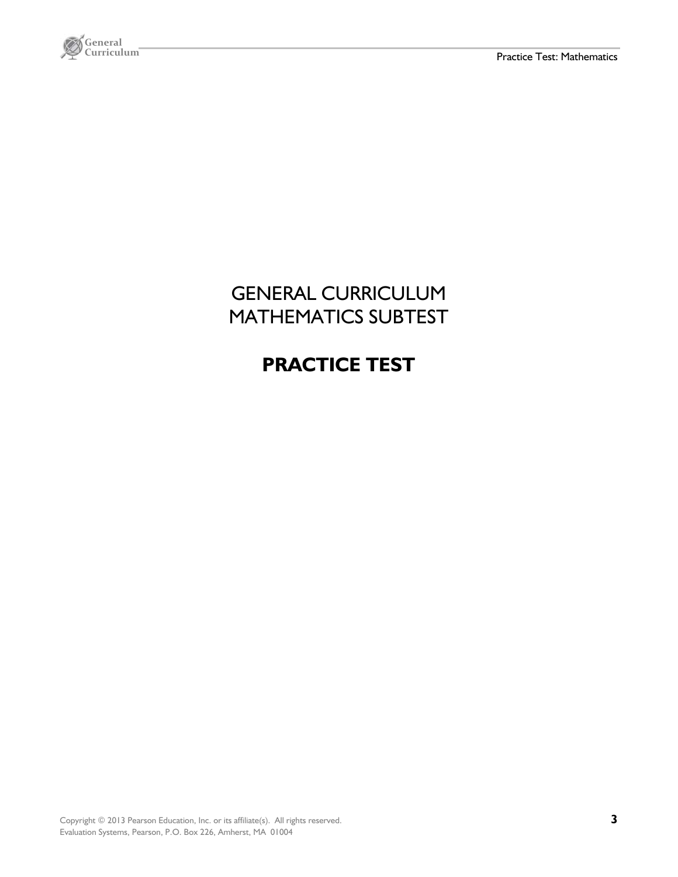

# GENERAL CURRICULUM MATHEMATICS SUBTEST

# **PRACTICE TEST**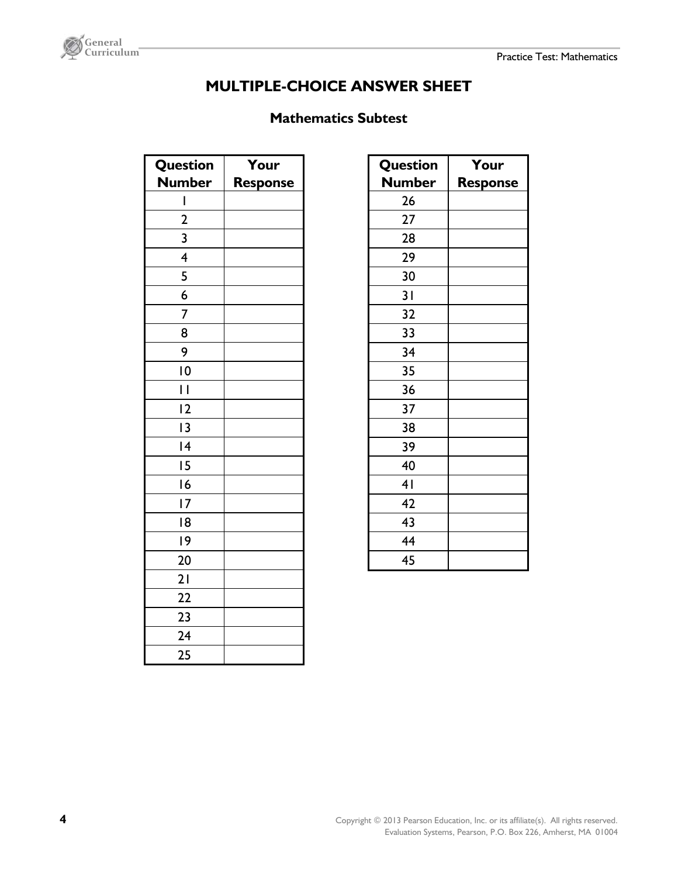

### **MULTIPLE-CHOICE ANSWER SHEET**

### **Mathematics Subtest**

| <b>Question</b>          | Your            |
|--------------------------|-----------------|
| <b>Number</b>            | <b>Response</b> |
| I                        |                 |
| $\overline{\mathbf{c}}$  |                 |
| $\overline{3}$           |                 |
| $\overline{4}$           |                 |
| $\overline{\mathbf{5}}$  |                 |
| $\overline{6}$           |                 |
| 7                        |                 |
| 8                        |                 |
| 9                        |                 |
| 10                       |                 |
| $\overline{\phantom{a}}$ |                 |
| $\overline{2}$           |                 |
| $\overline{1}3$          |                 |
| 4                        |                 |
| 15                       |                 |
| 6                        |                 |
| $\overline{17}$          |                 |
| 18                       |                 |
| 19                       |                 |
| 20                       |                 |
| 21                       |                 |
| 22                       |                 |
| 23                       |                 |
| 24                       |                 |
| 25                       |                 |

| <b>Question</b> | Your            |
|-----------------|-----------------|
| <b>Number</b>   | <b>Response</b> |
| 26              |                 |
| 27              |                 |
| 28              |                 |
| 29              |                 |
| 30              |                 |
| 31              |                 |
| 32              |                 |
| 33              |                 |
| 34              |                 |
| 35              |                 |
| 36              |                 |
| 37              |                 |
| 38              |                 |
| 39              |                 |
| 40              |                 |
| 4 <sub>1</sub>  |                 |
| 42              |                 |
| 43              |                 |
| 44              |                 |
| 45              |                 |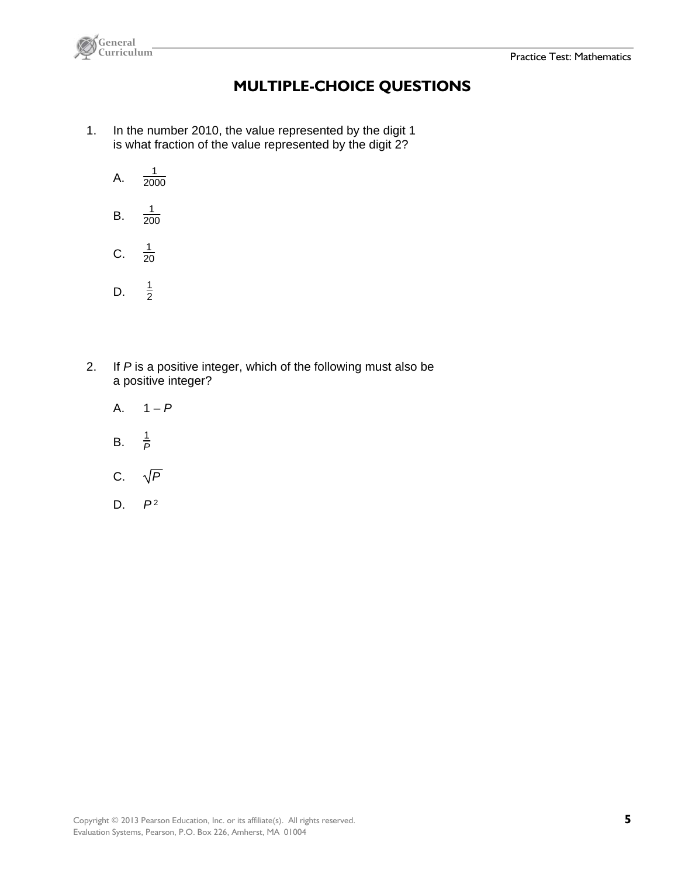



### **MULTIPLE-CHOICE QUESTIONS**

- 1. In the number 2010, the value represented by the digit 1 is what fraction of the value represented by the digit 2?
	- A.  $\frac{1}{2000}$
	- B.  $\frac{1}{200}$
	- $C<sub>1</sub>$  $\frac{1}{20}$
	- D.  $\frac{1}{2}$
- 2. If *P* is a positive integer, which of the following must also be a positive integer?
	- A.  $1 P$
	- $B<sub>1</sub>$  $\frac{1}{P}$
	- C.  $\sqrt{P}$
	- D. *P* <sup>2</sup>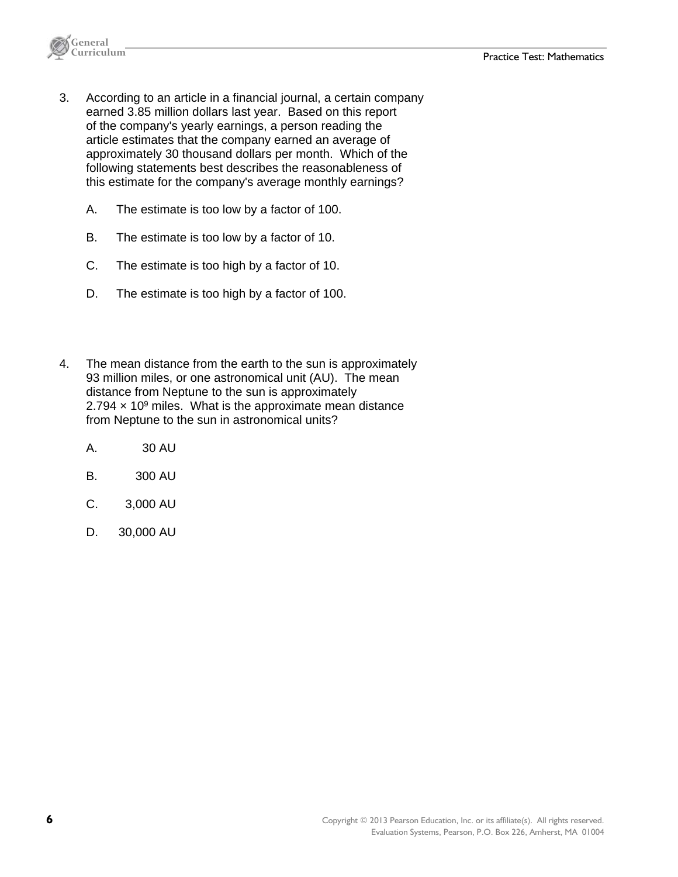

- 3. According to an article in a financial journal, a certain company earned 3.85 million dollars last year. Based on this report of the company's yearly earnings, a person reading the article estimates that the company earned an average of approximately 30 thousand dollars per month. Which of the following statements best describes the reasonableness of this estimate for the company's average monthly earnings?
	- A. The estimate is too low by a factor of 100.
	- B. The estimate is too low by a factor of 10.
	- C. The estimate is too high by a factor of 10.
	- D. The estimate is too high by a factor of 100.
- 4. The mean distance from the earth to the sun is approximately 93 million miles, or one astronomical unit (AU). The mean distance from Neptune to the sun is approximately 2.794  $\times$  10<sup>9</sup> miles. What is the approximate mean distance from Neptune to the sun in astronomical units?
	- A. 30 AU
	- B. 300 AU
	- C. 3,000 AU
	- D. 30,000 AU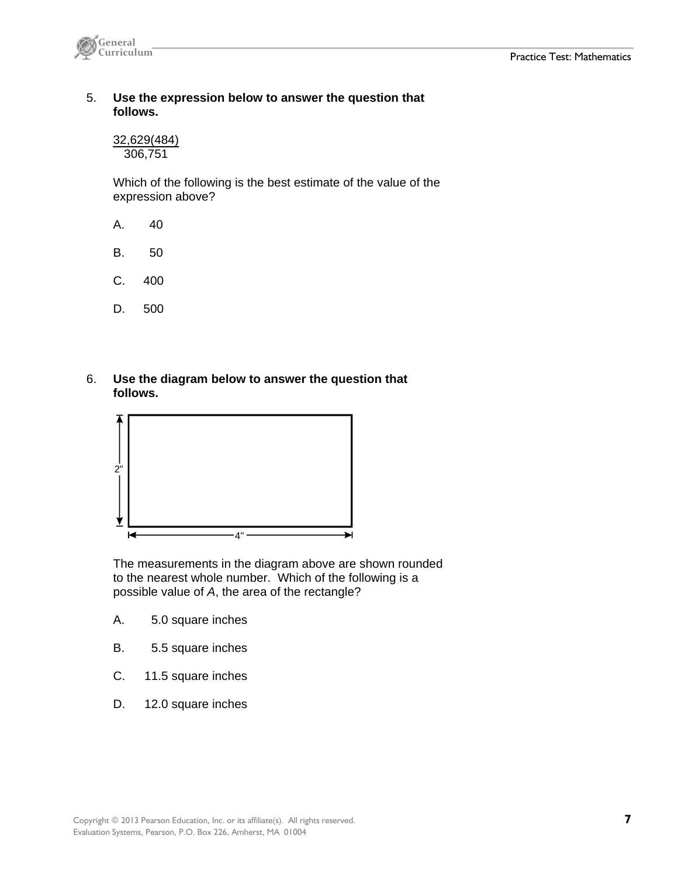

#### 5. **Use the expression below to answer the question that follows.**

32,629(484) 306,751

 Which of the following is the best estimate of the value of the expression above?

- A. 40
- B. 50
- C. 400
- D. 500
- 6. **Use the diagram below to answer the question that follows.**



 The measurements in the diagram above are shown rounded to the nearest whole number. Which of the following is a possible value of *A*, the area of the rectangle?

- A. 5.0 square inches
- B. 5.5 square inches
- C. 11.5 square inches
- D. 12.0 square inches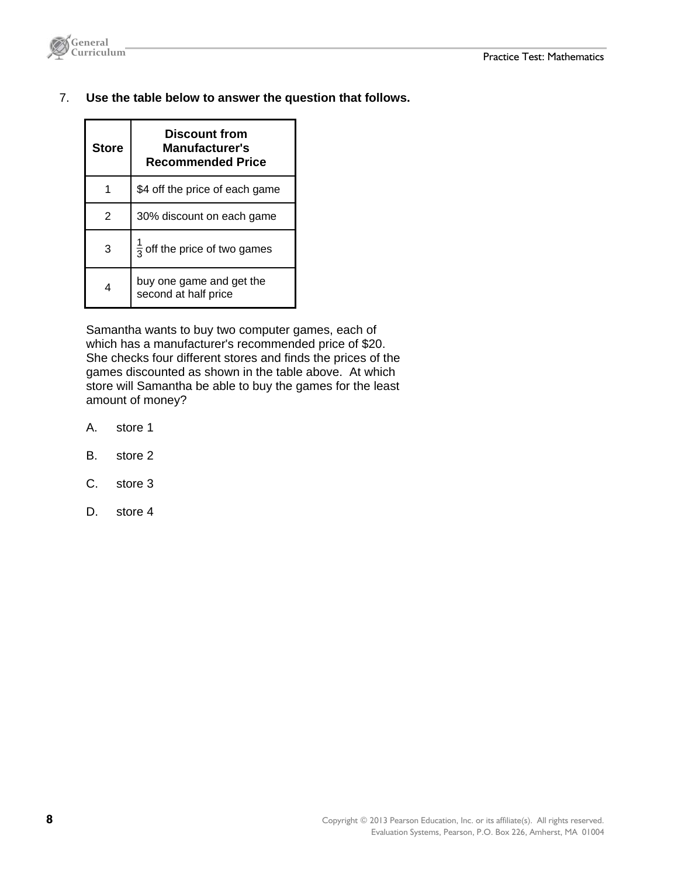

7. **Use the table below to answer the question that follows.** 

| <b>Store</b>          | Discount from<br>Manufacturer's<br><b>Recommended Price</b> |  |  |  |
|-----------------------|-------------------------------------------------------------|--|--|--|
| 1                     | \$4 off the price of each game                              |  |  |  |
| 2                     | 30% discount on each game                                   |  |  |  |
| 3                     | $\frac{1}{2}$ off the price of two games                    |  |  |  |
| $\boldsymbol{\Delta}$ | buy one game and get the<br>second at half price            |  |  |  |

 Samantha wants to buy two computer games, each of which has a manufacturer's recommended price of \$20. She checks four different stores and finds the prices of the games discounted as shown in the table above. At which store will Samantha be able to buy the games for the least amount of money?

- A. store 1
- B. store 2
- C. store 3
- D. store 4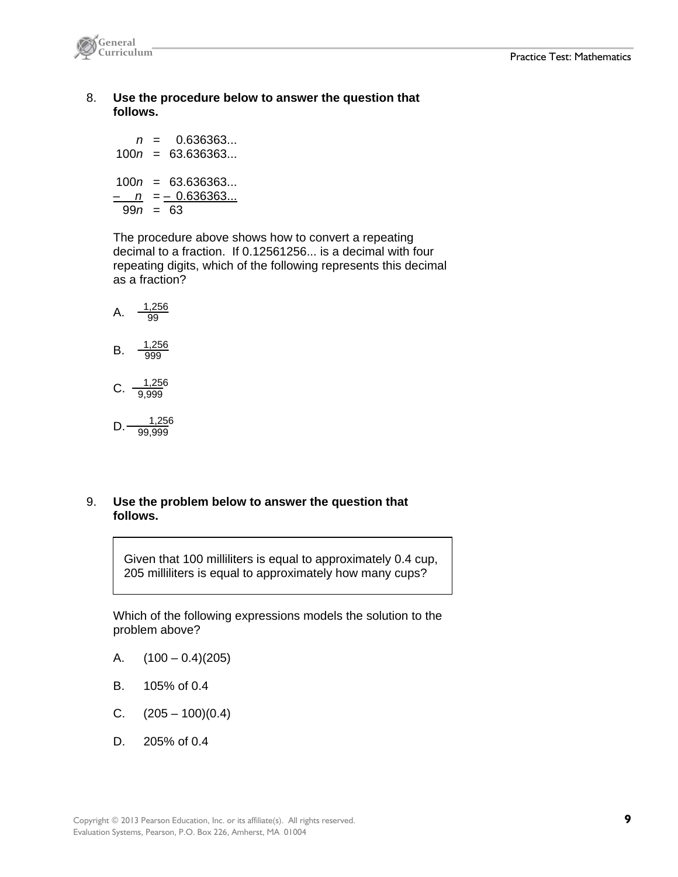

 8. **Use the procedure below to answer the question that follows.**

 *n* = 0.636363... 100*n* = 63.636363... 100*n* = 63.636363...  $-\underline{n} = -0.636363...$ 99*n* = 63

 The procedure above shows how to convert a repeating decimal to a fraction. If 0.12561256... is a decimal with four repeating digits, which of the following represents this decimal as a fraction?

A. 
$$
\frac{1,256}{99}
$$
  
B.  $\frac{1,256}{999}$   
C.  $\frac{1,256}{9,999}$ 

D. 
$$
\frac{1,256}{99,999}
$$

#### 9. **Use the problem below to answer the question that follows.**

Given that 100 milliliters is equal to approximately 0.4 cup, 205 milliliters is equal to approximately how many cups?

 Which of the following expressions models the solution to the problem above?

- A.  $(100 0.4)(205)$
- B. 105% of 0.4
- C.  $(205 100)(0.4)$
- D. 205% of 0.4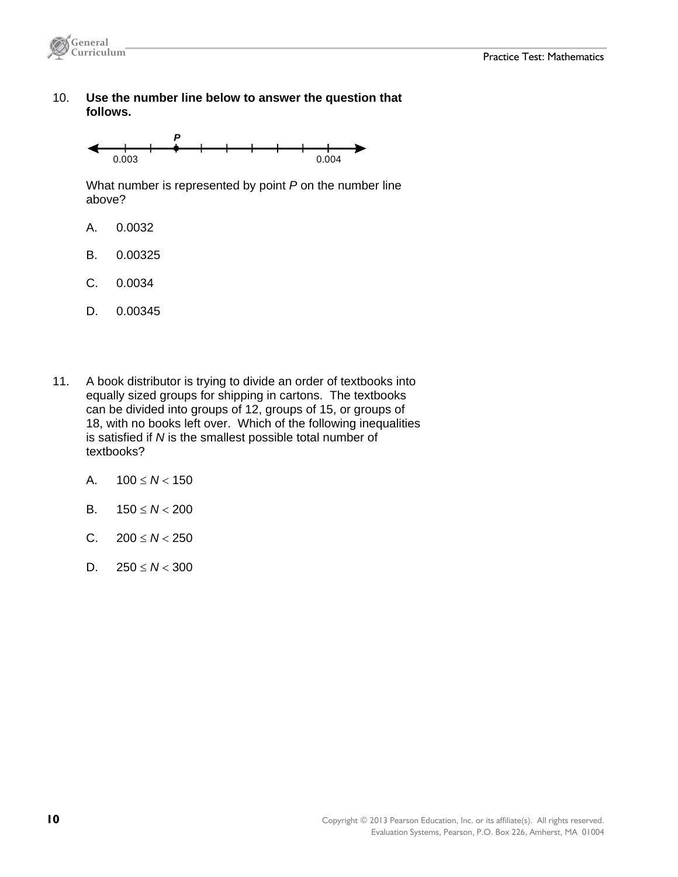



 10. **Use the number line below to answer the question that follows.**



 What number is represented by point *P* on the number line above?

- A. 0.0032
- B. 0.00325
- C. 0.0034
- D. 0.00345
- 11. A book distributor is trying to divide an order of textbooks into equally sized groups for shipping in cartons. The textbooks can be divided into groups of 12, groups of 15, or groups of 18, with no books left over. Which of the following inequalities is satisfied if *N* is the smallest possible total number of textbooks?
	- A.  $100 \leq N < 150$
	- B.  $150 \leq N < 200$
	- C.  $200 \le N < 250$
	- D.  $250 \le N < 300$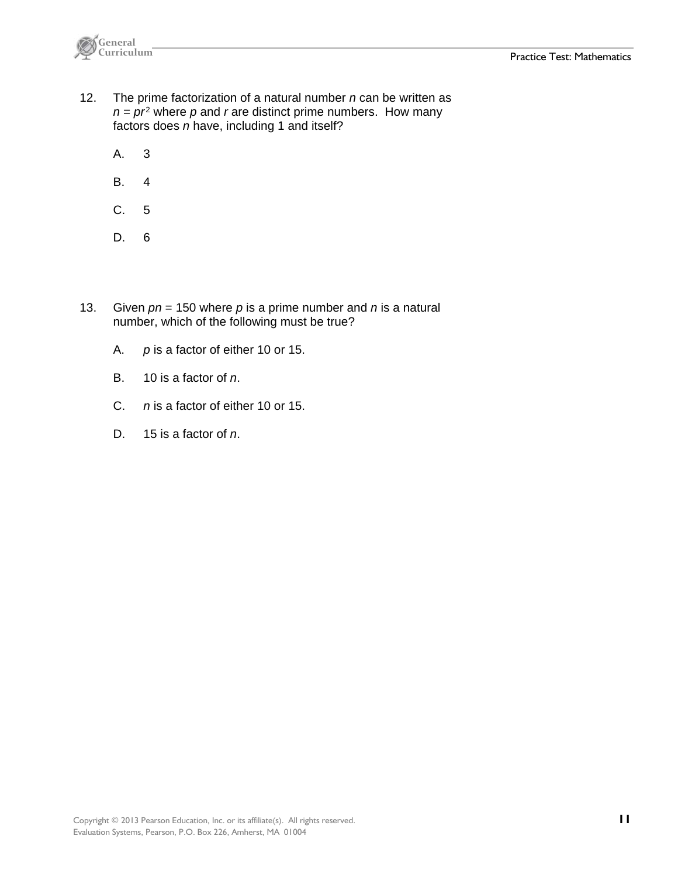

- 12. The prime factorization of a natural number *n* can be written as  $n = pr^2$  where p and r are distinct prime numbers. How many factors does *n* have, including 1 and itself?
	- A. 3
	- B. 4
	- C. 5
	- D. 6
- 13. Given *pn* = 150 where *p* is a prime number and *n* is a natural number, which of the following must be true?
	- A. *p* is a factor of either 10 or 15.
	- B. 10 is a factor of *n*.
	- C. *n* is a factor of either 10 or 15.
	- D. 15 is a factor of *n*.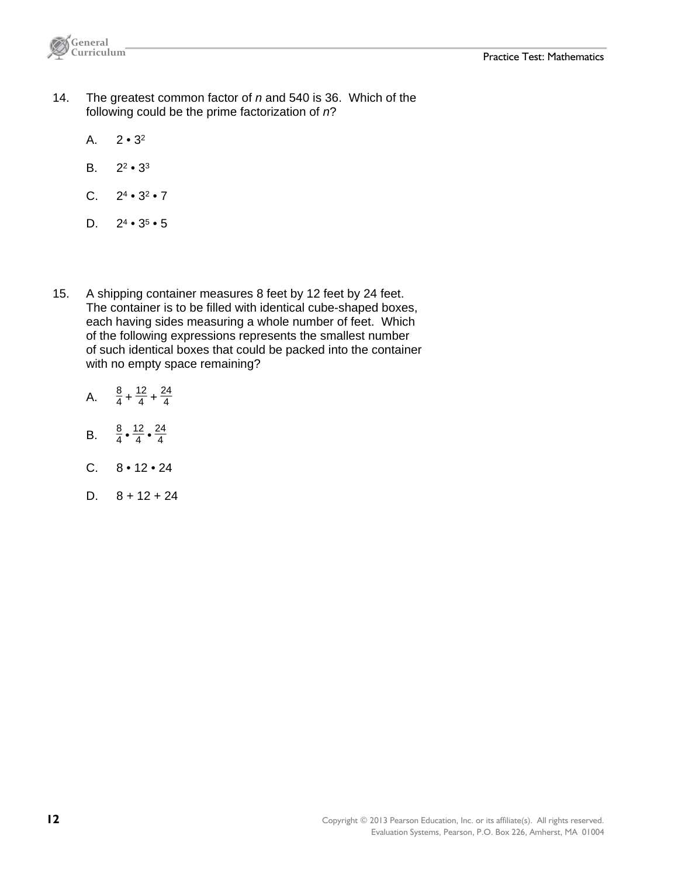

- 14. The greatest common factor of *n* and 540 is 36. Which of the following could be the prime factorization of *n*?
	- A.  $2 \cdot 3^2$
	- B.  $2^2 \cdot 3^3$
	- C.  $2^4 \cdot 3^2 \cdot 7$
	- D.  $2^4 \cdot 3^5 \cdot 5$
- 15. A shipping container measures 8 feet by 12 feet by 24 feet. The container is to be filled with identical cube-shaped boxes, each having sides measuring a whole number of feet. Which of the following expressions represents the smallest number of such identical boxes that could be packed into the container with no empty space remaining?
	- A.  $\frac{8}{4} + \frac{12}{4} + \frac{24}{4}$ 4
	- B.  $\frac{8}{4} \cdot \frac{12}{4} \cdot \frac{24}{4}$ 4
	- $C. 8 \cdot 12 \cdot 24$
	- D.  $8 + 12 + 24$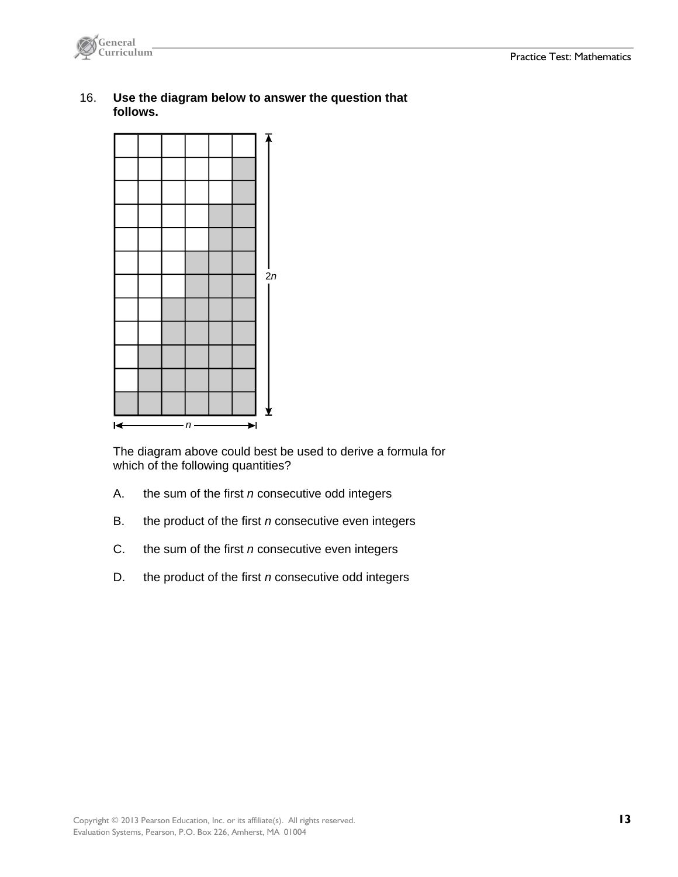

 16. **Use the diagram below to answer the question that follows.**



 The diagram above could best be used to derive a formula for which of the following quantities?

- A. the sum of the first *n* consecutive odd integers
- B. the product of the first *n* consecutive even integers
- C. the sum of the first *n* consecutive even integers
- D. the product of the first *n* consecutive odd integers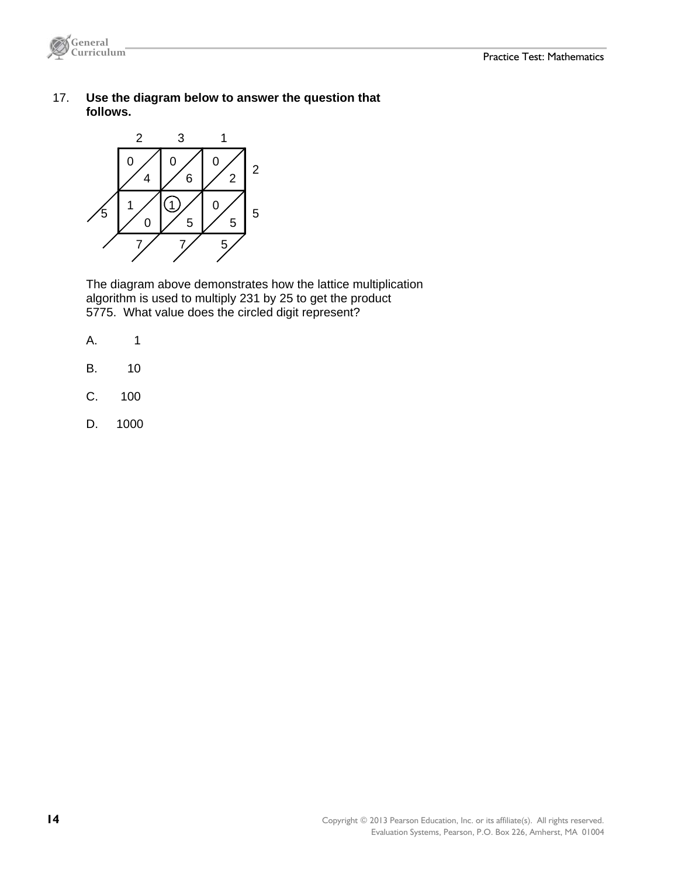

 17. **Use the diagram below to answer the question that follows.**



 The diagram above demonstrates how the lattice multiplication algorithm is used to multiply 231 by 25 to get the product 5775. What value does the circled digit represent?

- A. 1
- B. 10
- C. 100
- D. 1000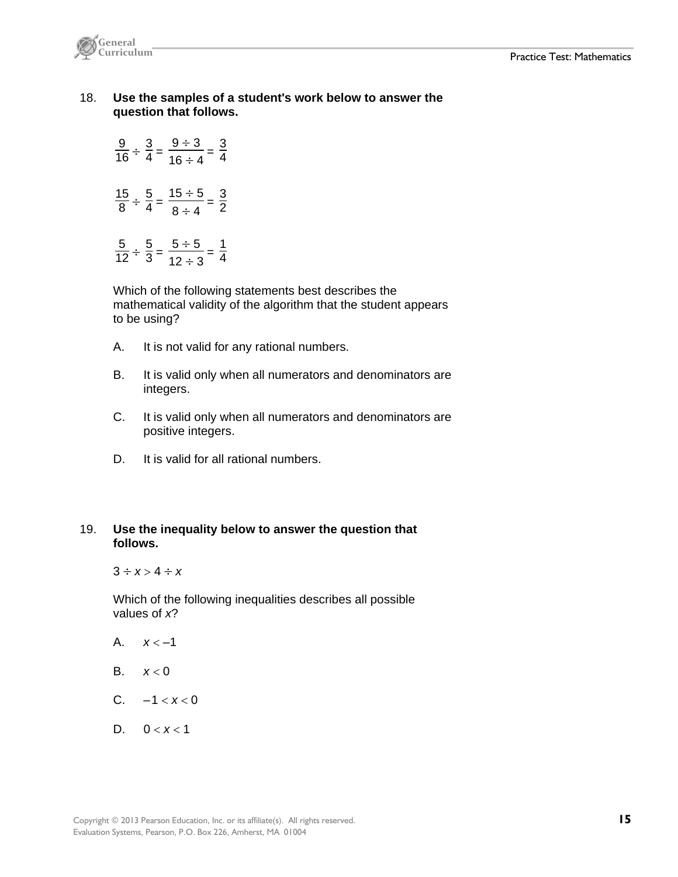

 18. **Use the samples of a student's work below to answer the question that follows.** 

|  | $\frac{9}{16} \div \frac{3}{4} = \frac{9 \div 3}{16 \div 4} =$ | $\frac{3}{4}$ |
|--|----------------------------------------------------------------|---------------|
|  | $\frac{15}{8} \div \frac{5}{4} = \frac{15 \div 5}{8 \div 4} =$ | $\frac{3}{2}$ |
|  | $\frac{5}{12} \div \frac{5}{3} = \frac{5 \div 5}{12 \div 3} =$ | $\frac{1}{4}$ |

 Which of the following statements best describes the mathematical validity of the algorithm that the student appears to be using?

- A. It is not valid for any rational numbers.
- B. It is valid only when all numerators and denominators are integers.
- C. It is valid only when all numerators and denominators are positive integers.
- D. It is valid for all rational numbers.

#### 19. **Use the inequality below to answer the question that follows.**

 $3 \div x > 4 \div x$ 

 Which of the following inequalities describes all possible values of *x*?

- A.  $x < -1$
- B.  $x < 0$
- C.  $-1 < x < 0$
- D.  $0 < x < 1$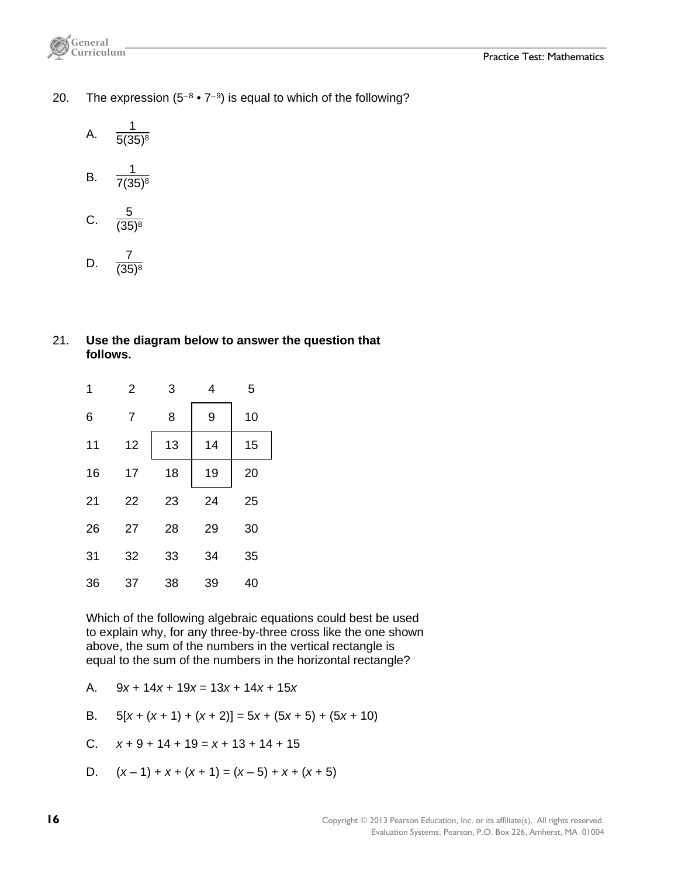- 20. The expression  $(5^{-8} \cdot 7^{-9})$  is equal to which of the following?
	- A.  $\frac{1}{5(35)^8}$

B. 
$$
\frac{1}{7(35)^8}
$$

- C.  $\frac{5}{(35)^8}$
- D.  $\frac{7}{(35)^8}$

#### 21. **Use the diagram below to answer the question that follows.**

| 1  | $\overline{2}$ | 3  | 4  | 5  |
|----|----------------|----|----|----|
| 6  | 7              | 8  | 9  | 10 |
| 11 | 12             | 13 | 14 | 15 |
| 16 | 17             | 18 | 19 | 20 |
| 21 | 22             | 23 | 24 | 25 |
| 26 | 27             | 28 | 29 | 30 |
| 31 | 32             | 33 | 34 | 35 |
| 36 | 37             | 38 | 39 | 40 |

 Which of the following algebraic equations could best be used to explain why, for any three-by-three cross like the one shown above, the sum of the numbers in the vertical rectangle is equal to the sum of the numbers in the horizontal rectangle?

A. 9*x* + 14*x* + 19*x* = 13*x* + 14*x* + 15*x*

B. 
$$
5[x + (x + 1) + (x + 2)] = 5x + (5x + 5) + (5x + 10)
$$

C. 
$$
x + 9 + 14 + 19 = x + 13 + 14 + 15
$$

D.  $(x-1) + x + (x+1) = (x-5) + x + (x+5)$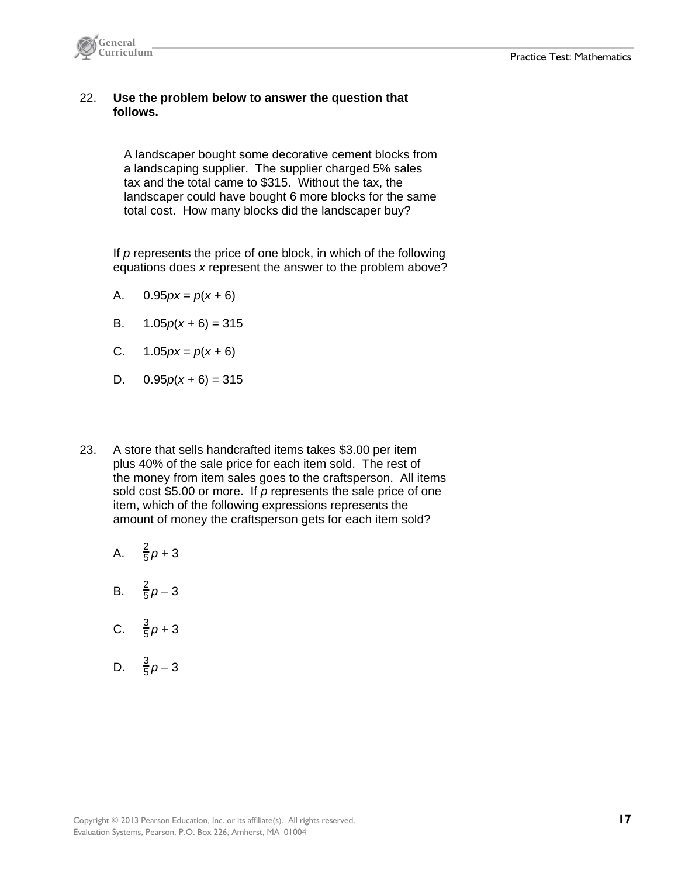

#### 22. **Use the problem below to answer the question that follows.**

A landscaper bought some decorative cement blocks from a landscaping supplier. The supplier charged 5% sales tax and the total came to \$315. Without the tax, the landscaper could have bought 6 more blocks for the same total cost. How many blocks did the landscaper buy?

 If *p* represents the price of one block, in which of the following equations does *x* represent the answer to the problem above?

- A.  $0.95px = p(x+6)$
- B.  $1.05p(x+6) = 315$
- C. 1.05*px* = *p*(*x +* 6)
- D.  $0.95p(x+6) = 315$
- 23. A store that sells handcrafted items takes \$3.00 per item plus 40% of the sale price for each item sold. The rest of the money from item sales goes to the craftsperson. All items sold cost \$5.00 or more. If *p* represents the sale price of one item, which of the following expressions represents the amount of money the craftsperson gets for each item sold?
	- A.  $\frac{2}{5}p + 3$
	- B.  $\frac{2}{5}p-3$
	- C.  $\frac{3}{5}p+3$
	- D.  $\frac{3}{5}p-3$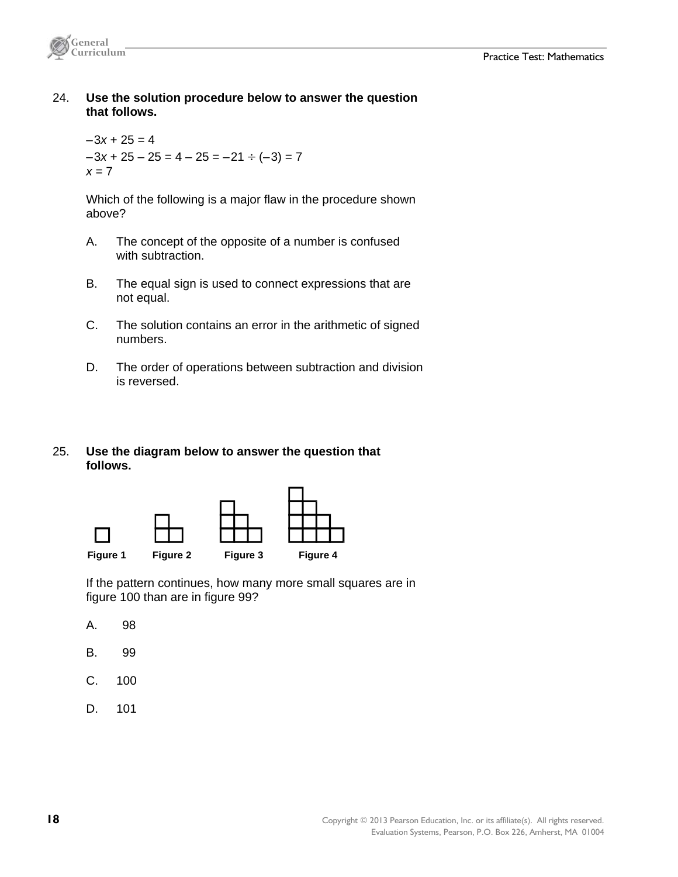

 24. **Use the solution procedure below to answer the question that follows.**

 $-3x + 25 = 4$  $-3x + 25 - 25 = 4 - 25 = -21 \div (-3) = 7$ *x* = 7

 Which of the following is a major flaw in the procedure shown above?

- A. The concept of the opposite of a number is confused with subtraction.
- B. The equal sign is used to connect expressions that are not equal.
- C. The solution contains an error in the arithmetic of signed numbers.
- D. The order of operations between subtraction and division is reversed.

#### 25. **Use the diagram below to answer the question that follows.**



 If the pattern continues, how many more small squares are in figure 100 than are in figure 99?

- A. 98
- B. 99
- C. 100
- D. 101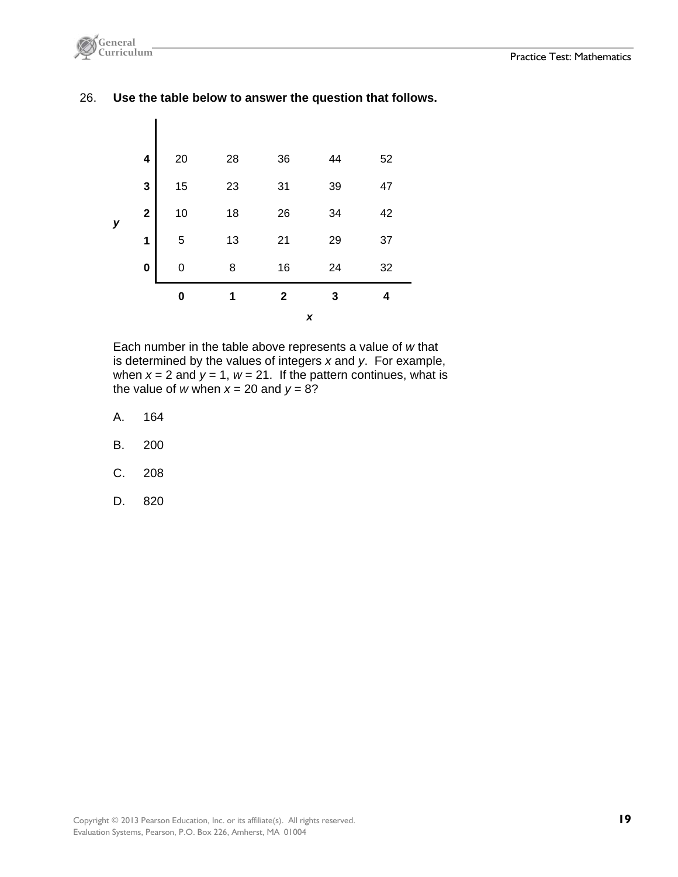

26. **Use the table below to answer the question that follows.** 



 Each number in the table above represents a value of *w* that is determined by the values of integers *x* and *y*. For example, when  $x = 2$  and  $y = 1$ ,  $w = 21$ . If the pattern continues, what is the value of *w* when  $x = 20$  and  $y = 8$ ?

- A. 164
- B. 200
- C. 208
- D. 820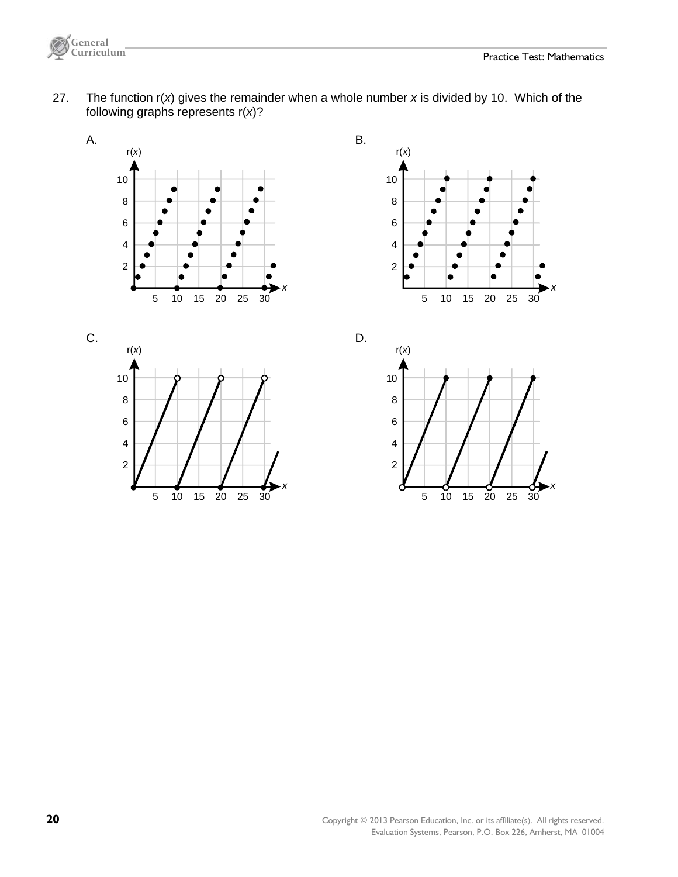*x*



 27. The function r(*x*) gives the remainder when a whole number *x* is divided by 10. Which of the following graphs represents r(*x*)?





5 10 15 20 25 30

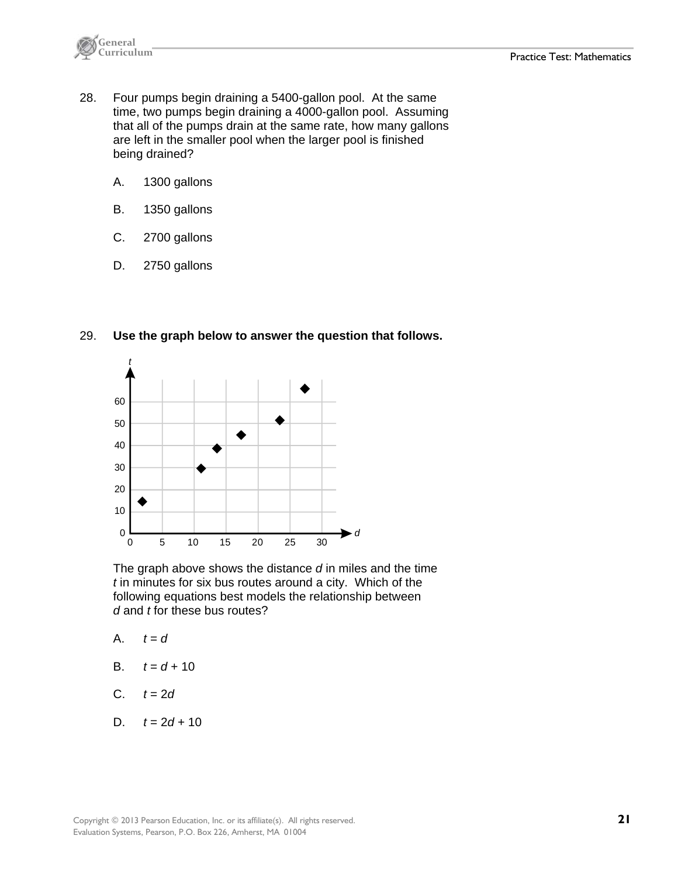

- 28. Four pumps begin draining a 5400-gallon pool. At the same time, two pumps begin draining a 4000-gallon pool. Assuming that all of the pumps drain at the same rate, how many gallons are left in the smaller pool when the larger pool is finished being drained?
	- A. 1300 gallons
	- B. 1350 gallons
	- C. 2700 gallons
	- D. 2750 gallons



29. **Use the graph below to answer the question that follows.**

 The graph above shows the distance *d* in miles and the time *t* in minutes for six bus routes around a city. Which of the following equations best models the relationship between *d* and *t* for these bus routes?

- A.  $t = d$
- B.  $t = d + 10$
- $C. \t t = 2d$
- D.  $t = 2d + 10$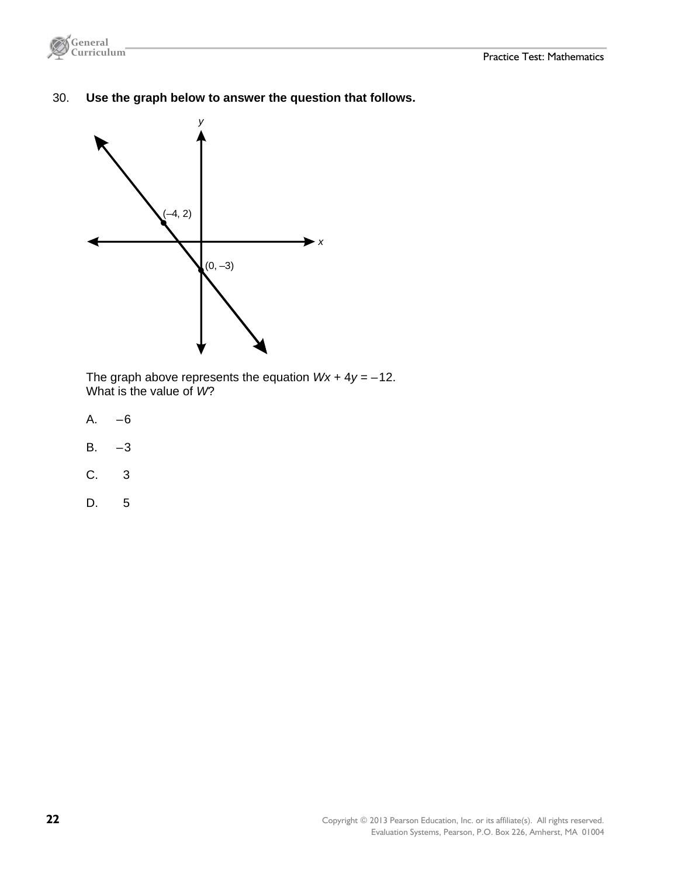

30. **Use the graph below to answer the question that follows.** 



 The graph above represents the equation *Wx* + 4*y* = –12. What is the value of *W*?

- A. –6
- $B. -3$
- C. 3
- D. 5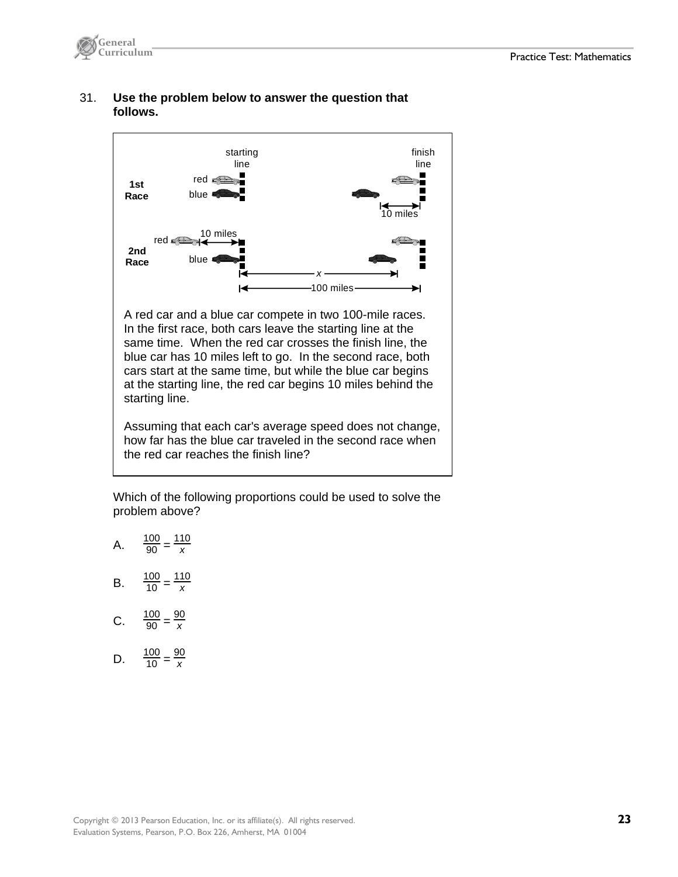

#### 31. **Use the problem below to answer the question that follows.**



A red car and a blue car compete in two 100-mile races. In the first race, both cars leave the starting line at the same time. When the red car crosses the finish line, the blue car has 10 miles left to go. In the second race, both cars start at the same time, but while the blue car begins at the starting line, the red car begins 10 miles behind the starting line.

Assuming that each car's average speed does not change, how far has the blue car traveled in the second race when the red car reaches the finish line?

 Which of the following proportions could be used to solve the problem above?

- A.  $\frac{100}{90} = \frac{110}{x}$
- B.  $\frac{100}{10} = \frac{110}{x}$
- C.  $\frac{100}{90} = \frac{90}{x}$
- D.  $\frac{100}{10} = \frac{90}{x}$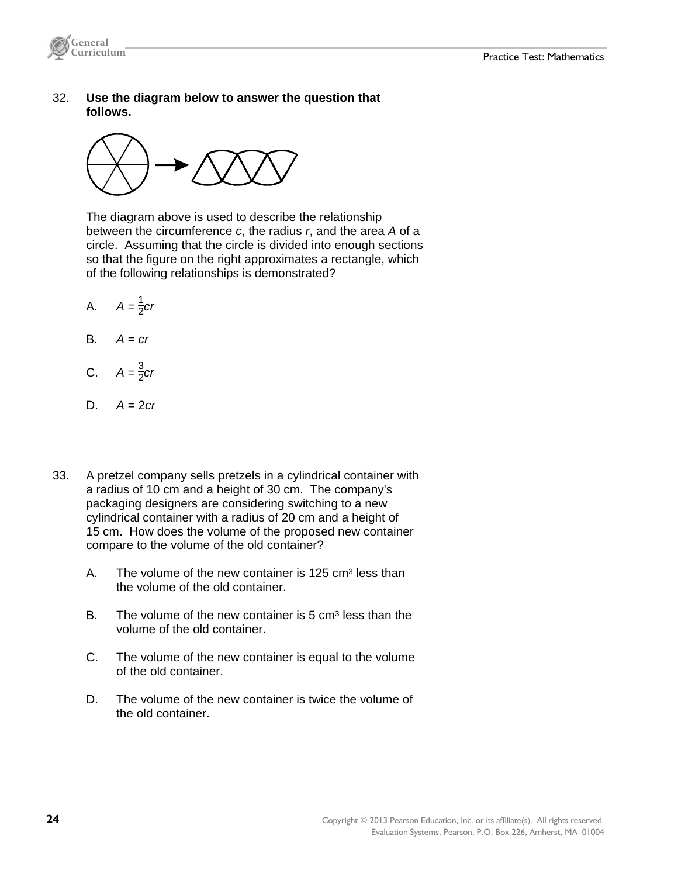

 32. **Use the diagram below to answer the question that follows.**



 The diagram above is used to describe the relationship between the circumference *c*, the radius *r*, and the area *A* of a circle. Assuming that the circle is divided into enough sections so that the figure on the right approximates a rectangle, which of the following relationships is demonstrated?

- A.  $A = \frac{1}{2}$ *cr*
- $A = cr$
- **C.**  $A = \frac{3}{2}$ *cr*
- D. *A* = 2*cr*
- 33. A pretzel company sells pretzels in a cylindrical container with a radius of 10 cm and a height of 30 cm. The company's packaging designers are considering switching to a new cylindrical container with a radius of 20 cm and a height of 15 cm. How does the volume of the proposed new container compare to the volume of the old container?
	- A. The volume of the new container is  $125 \text{ cm}^3$  less than the volume of the old container.
	- B. The volume of the new container is  $5 \text{ cm}^3$  less than the volume of the old container.
	- C. The volume of the new container is equal to the volume of the old container.
	- D. The volume of the new container is twice the volume of the old container.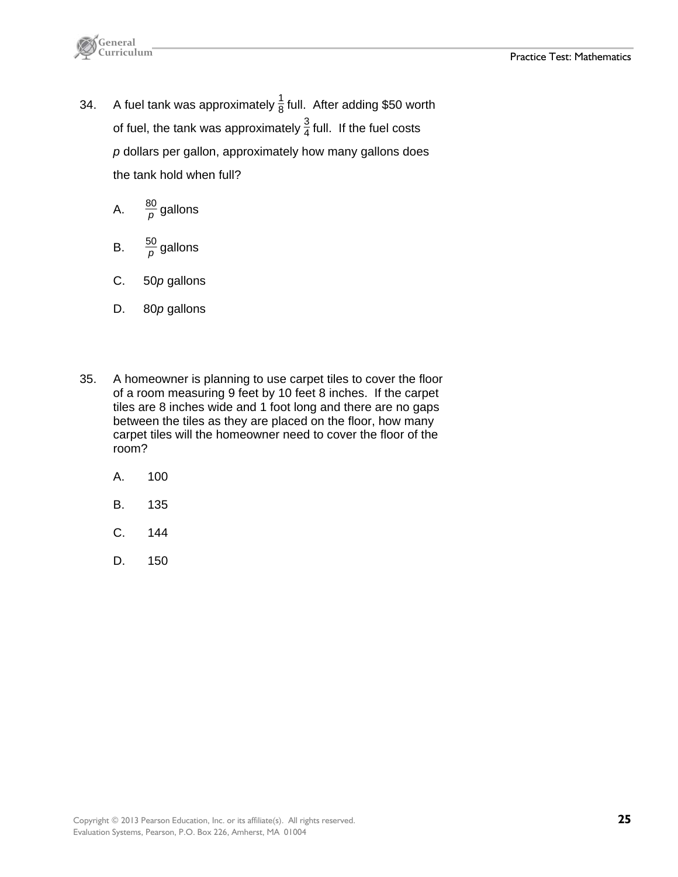

34. A fuel tank was approximately  $\frac{1}{8}$  full. After adding \$50 worth of fuel, the tank was approximately  $\frac{3}{4}$  full. If the fuel costs *p* dollars per gallon, approximately how many gallons does the tank hold when full?

A. 
$$
\frac{80}{p}
$$
 gallons

- B.  $\frac{50}{p}$  gallons
- C. 50*p* gallons
- D. 80*p* gallons
- 35. A homeowner is planning to use carpet tiles to cover the floor of a room measuring 9 feet by 10 feet 8 inches. If the carpet tiles are 8 inches wide and 1 foot long and there are no gaps between the tiles as they are placed on the floor, how many carpet tiles will the homeowner need to cover the floor of the room?
	- A. 100
	- B. 135
	- C. 144
	- D. 150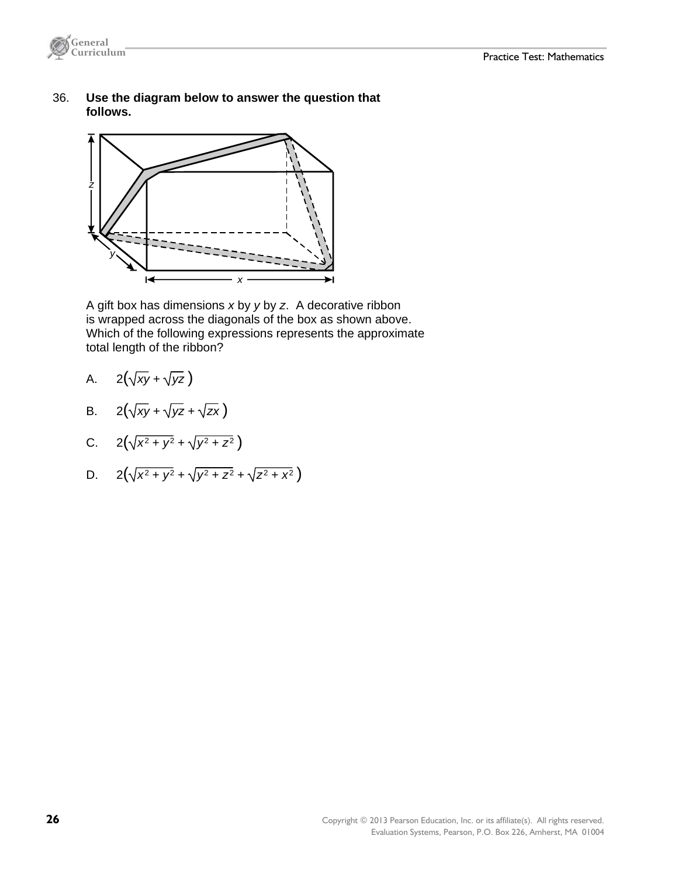

 36. **Use the diagram below to answer the question that follows.**



 A gift box has dimensions *x* by *y* by *z*. A decorative ribbon is wrapped across the diagonals of the box as shown above. Which of the following expressions represents the approximate total length of the ribbon?

- A.  $2(\sqrt{xy} + \sqrt{yz})$
- B.  $2(\sqrt{xy} + \sqrt{yz} + \sqrt{zx})$
- C.  $2(\sqrt{x^2 + y^2} + \sqrt{y^2 + z^2})$
- D.  $2(\sqrt{x^2 + y^2} + \sqrt{y^2 + z^2} + \sqrt{z^2 + x^2})$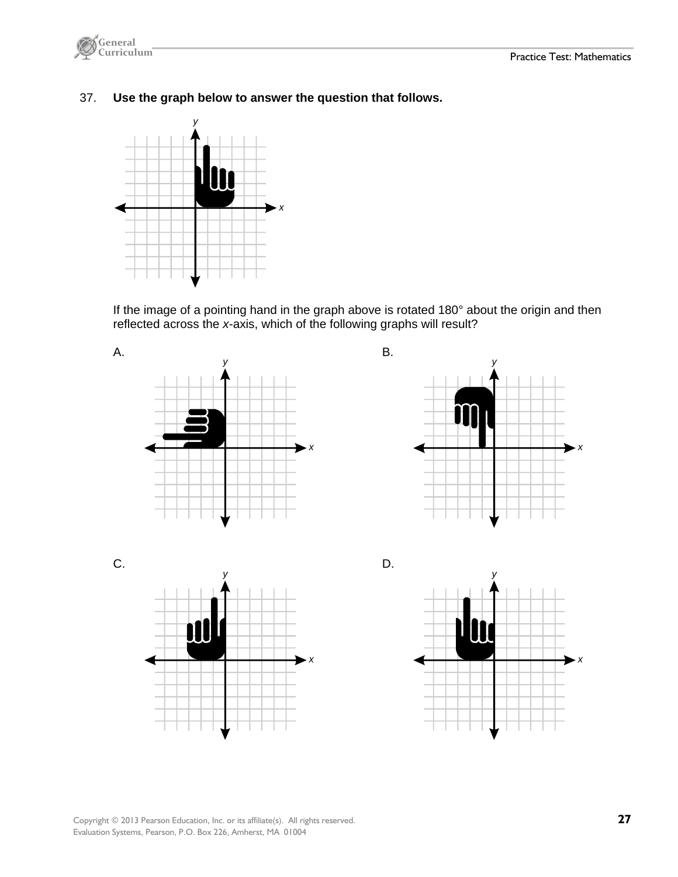

37. **Use the graph below to answer the question that follows.**



 If the image of a pointing hand in the graph above is rotated 180° about the origin and then reflected across the *x*-axis, which of the following graphs will result?



Copyright © 2013 Pearson Education, Inc. or its affiliate(s). All rights reserved. **27**  Evaluation Systems, Pearson, P.O. Box 226, Amherst, MA 01004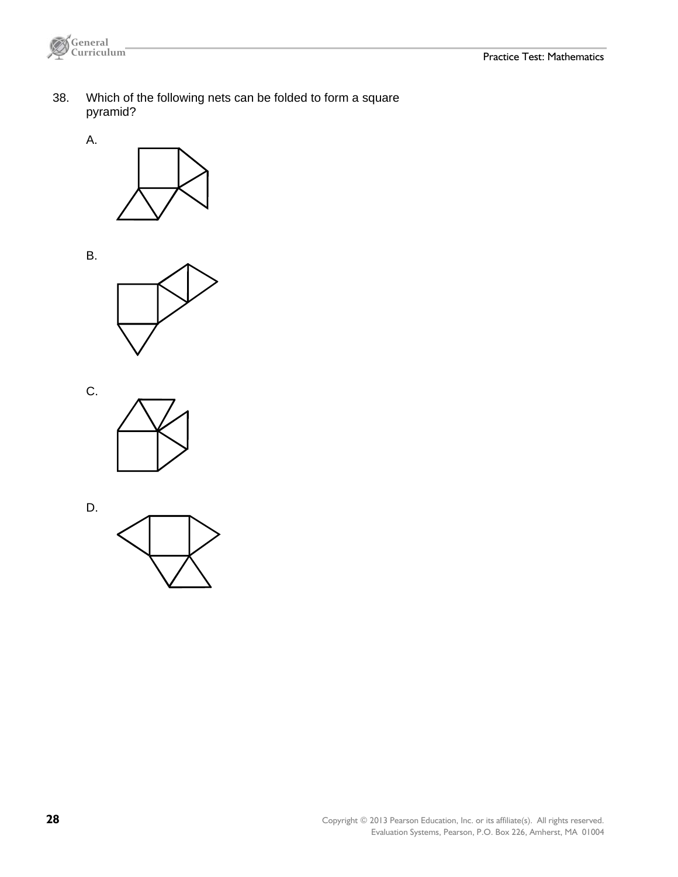

 38. Which of the following nets can be folded to form a square pyramid?





B.



C.

D.



**28** Copyright © 2013 Pearson Education, Inc. or its affiliate(s). All rights reserved. Evaluation Systems, Pearson, P.O. Box 226, Amherst, MA 01004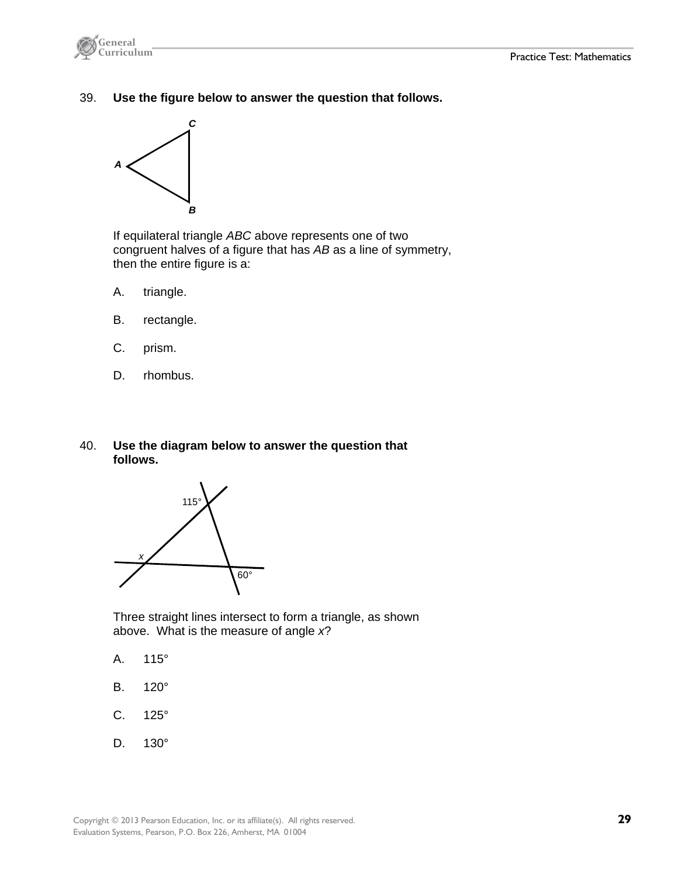

39. **Use the figure below to answer the question that follows.** 



 If equilateral triangle *ABC* above represents one of two congruent halves of a figure that has *AB* as a line of symmetry, then the entire figure is a:

- A. triangle.
- B. rectangle.
- C. prism.
- D. rhombus.
- 40. **Use the diagram below to answer the question that follows.**



 Three straight lines intersect to form a triangle, as shown above. What is the measure of angle *x*?

- A. 115°
- B. 120°
- C. 125°
- D. 130°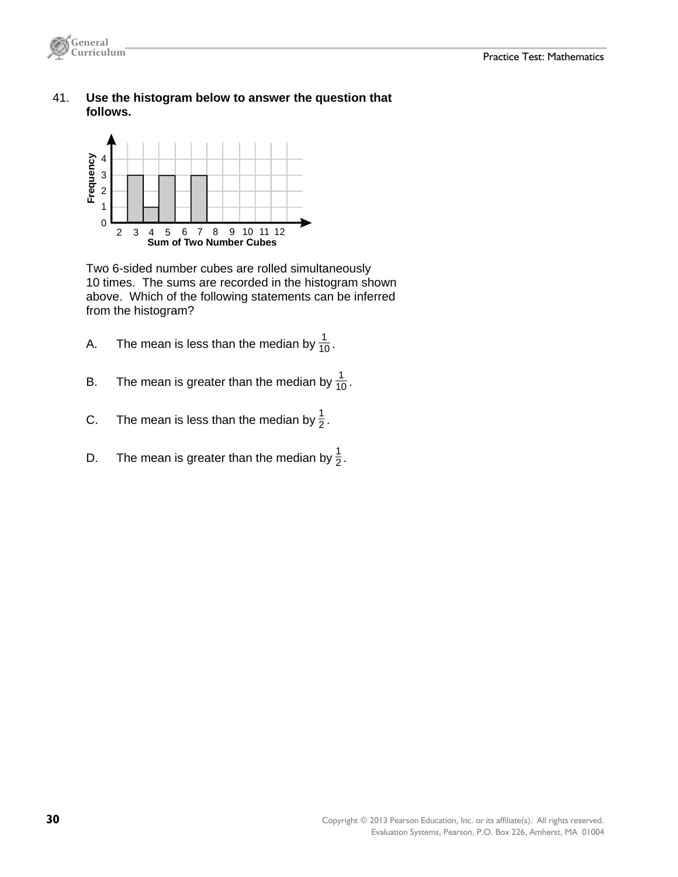

 41. **Use the histogram below to answer the question that follows.**



 Two 6-sided number cubes are rolled simultaneously 10 times. The sums are recorded in the histogram shown above. Which of the following statements can be inferred from the histogram?

- A. The mean is less than the median by  $\frac{1}{10}$ .
- B. The mean is greater than the median by  $\frac{1}{10}$ .
- C. The mean is less than the median by  $\frac{1}{2}$ .
- D. The mean is greater than the median by  $\frac{1}{2}$ .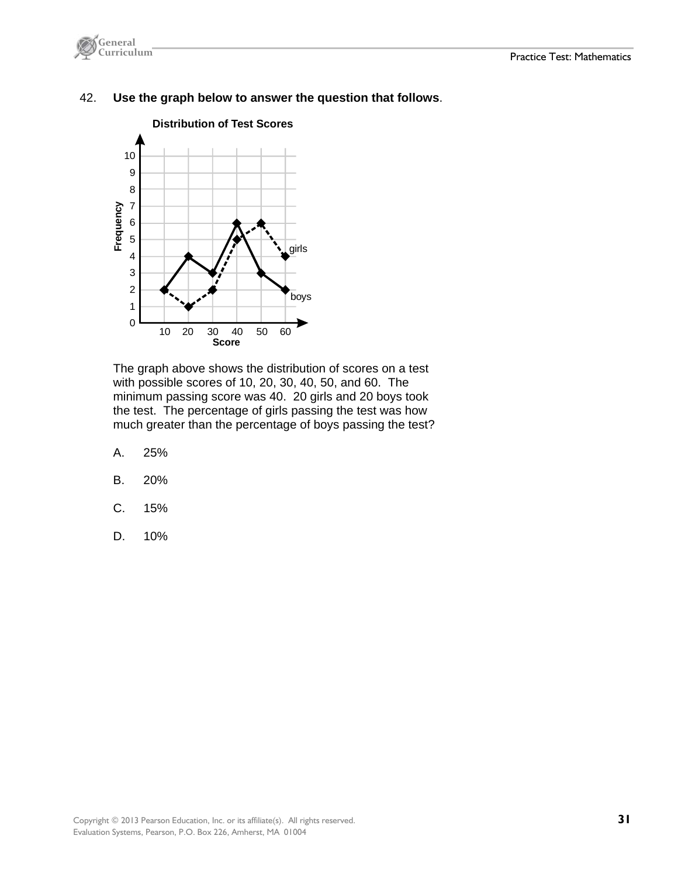



#### 42. **Use the graph below to answer the question that follows**.

The graph above shows the distribution of scores on a test with possible scores of 10, 20, 30, 40, 50, and 60. The minimum passing score was 40. 20 girls and 20 boys took the test. The percentage of girls passing the test was how much greater than the percentage of boys passing the test?

- A. 25%
- B. 20%
- C. 15%
- D. 10%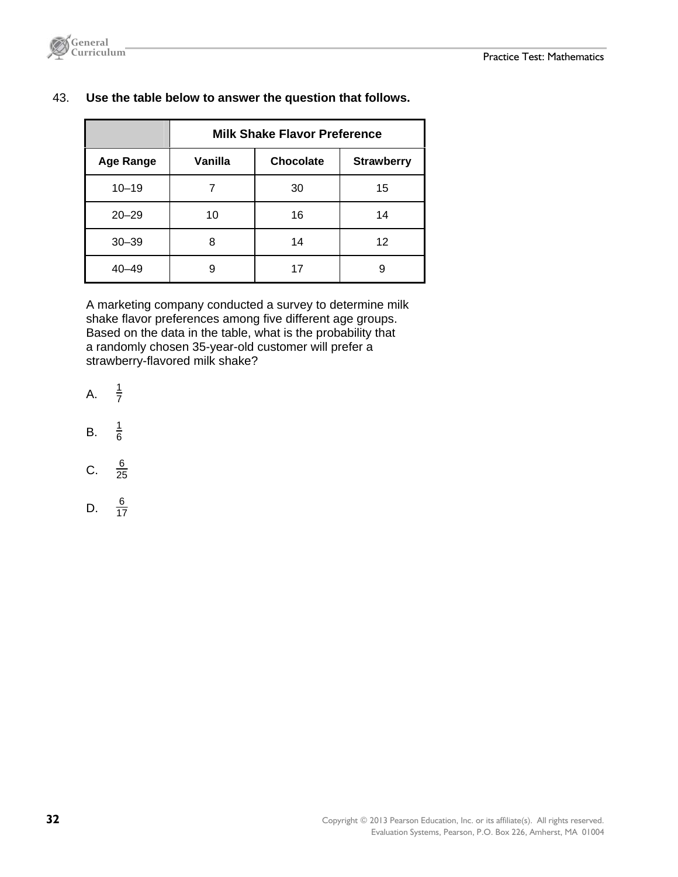

|                  | <b>Milk Shake Flavor Preference</b>       |    |    |  |
|------------------|-------------------------------------------|----|----|--|
| <b>Age Range</b> | Vanilla<br>Chocolate<br><b>Strawberry</b> |    |    |  |
| $10 - 19$        | 7                                         | 30 | 15 |  |
| $20 - 29$        | 10                                        | 16 | 14 |  |
| $30 - 39$        | 8                                         | 14 | 12 |  |
| $40 - 49$        | 9                                         | 17 | 9  |  |

#### 43. **Use the table below to answer the question that follows.**

 A marketing company conducted a survey to determine milk shake flavor preferences among five different age groups. Based on the data in the table, what is the probability that a randomly chosen 35-year-old customer will prefer a strawberry-flavored milk shake?

- $A<sub>1</sub>$  $rac{1}{7}$
- B. <sup>1</sup>  $\frac{1}{6}$
- $C<sub>r</sub>$  $rac{6}{25}$
- D.  $\frac{6}{17}$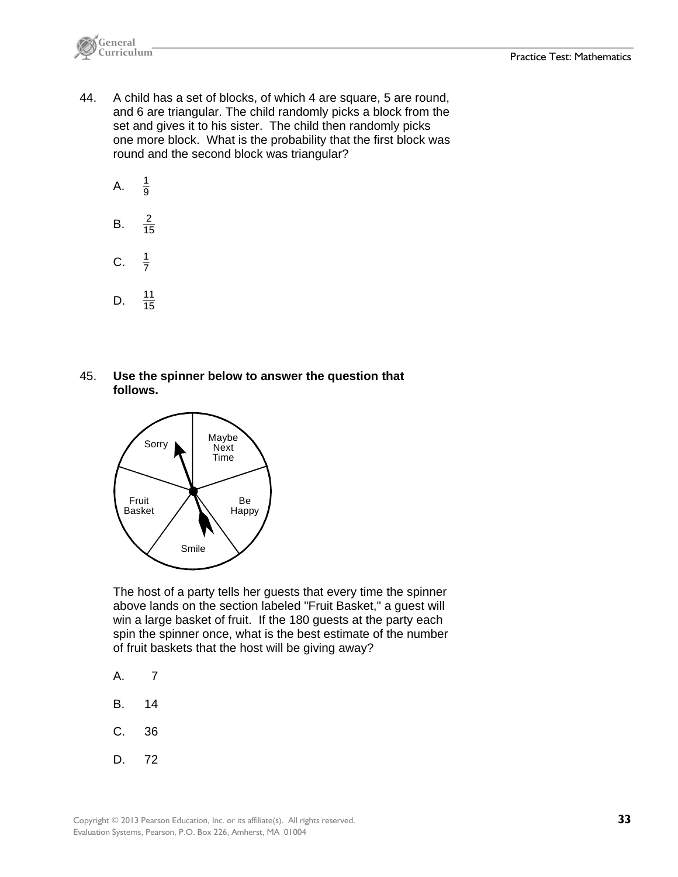

- 44. A child has a set of blocks, of which 4 are square, 5 are round, and 6 are triangular. The child randomly picks a block from the set and gives it to his sister. The child then randomly picks one more block. What is the probability that the first block was round and the second block was triangular?
	- A.  $\frac{1}{9}$
	- B.  $\frac{2}{15}$
	- $C.$  $rac{1}{7}$
	- D.  $\frac{11}{15}$ 15
- 45. **Use the spinner below to answer the question that follows.**



 The host of a party tells her guests that every time the spinner above lands on the section labeled "Fruit Basket," a guest will win a large basket of fruit. If the 180 guests at the party each spin the spinner once, what is the best estimate of the number of fruit baskets that the host will be giving away?

- A. 7
- B. 14
- C. 36
- D. 72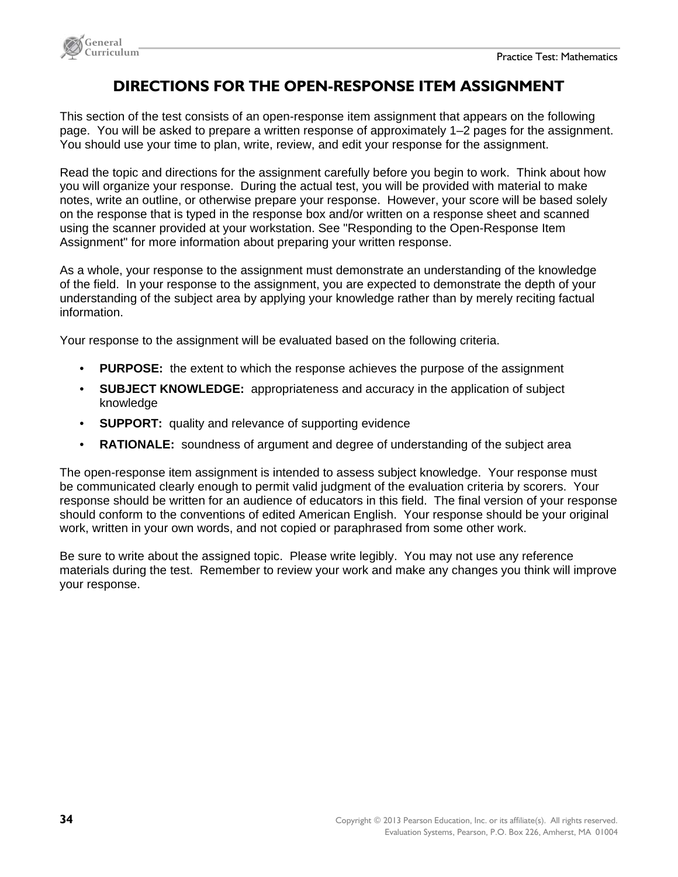



### **DIRECTIONS FOR THE OPEN-RESPONSE ITEM ASSIGNMENT**

This section of the test consists of an open-response item assignment that appears on the following page. You will be asked to prepare a written response of approximately 1–2 pages for the assignment. You should use your time to plan, write, review, and edit your response for the assignment.

Read the topic and directions for the assignment carefully before you begin to work. Think about how you will organize your response. During the actual test, you will be provided with material to make notes, write an outline, or otherwise prepare your response. However, your score will be based solely on the response that is typed in the response box and/or written on a response sheet and scanned using the scanner provided at your workstation. See "Responding to the Open-Response Item Assignment" for more information about preparing your written response.

As a whole, your response to the assignment must demonstrate an understanding of the knowledge of the field. In your response to the assignment, you are expected to demonstrate the depth of your understanding of the subject area by applying your knowledge rather than by merely reciting factual information.

Your response to the assignment will be evaluated based on the following criteria.

- **PURPOSE:** the extent to which the response achieves the purpose of the assignment
- **SUBJECT KNOWLEDGE:** appropriateness and accuracy in the application of subject knowledge
- **SUPPORT:** quality and relevance of supporting evidence
- **RATIONALE:** soundness of argument and degree of understanding of the subject area

The open-response item assignment is intended to assess subject knowledge. Your response must be communicated clearly enough to permit valid judgment of the evaluation criteria by scorers. Your response should be written for an audience of educators in this field. The final version of your response should conform to the conventions of edited American English. Your response should be your original work, written in your own words, and not copied or paraphrased from some other work.

Be sure to write about the assigned topic. Please write legibly. You may not use any reference materials during the test. Remember to review your work and make any changes you think will improve your response.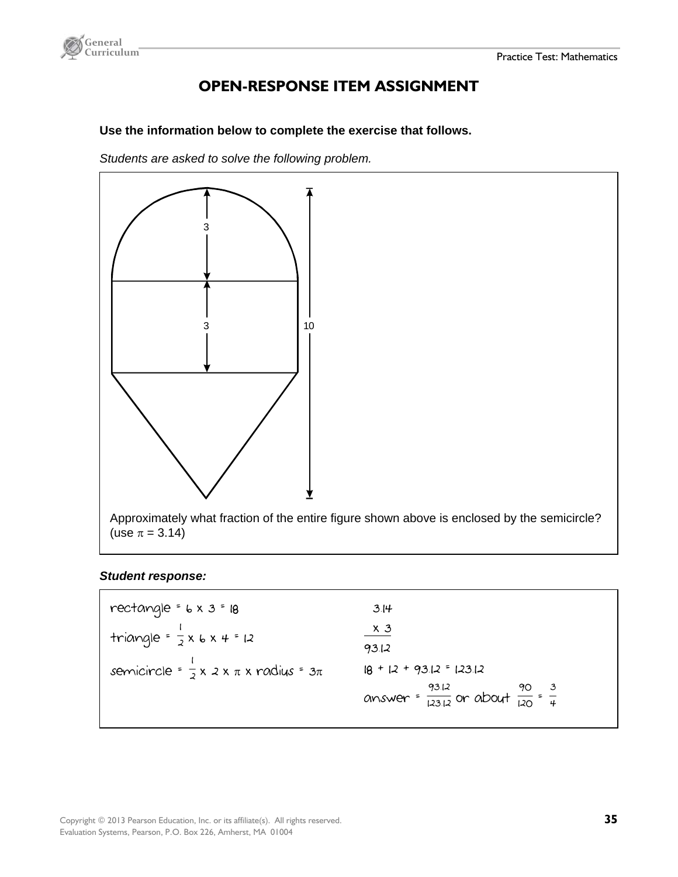

### **OPEN-RESPONSE ITEM ASSIGNMENT**

**Use the information below to complete the exercise that follows.**

*Students are asked to solve the following problem.* 



Approximately what fraction of the entire figure shown above is enclosed by the semicircle? (use  $\pi = 3.14$ )

#### *Student response:*

| rectangle = $6 \times 3 = 18$                            | 3.14                                                                    |
|----------------------------------------------------------|-------------------------------------------------------------------------|
| triangle = $\frac{1}{2}$ x 6 x 4 = 12                    | $x_3$<br>93.12                                                          |
| semicircle = $\frac{1}{2}$ x 2 x $\pi$ x radius = $3\pi$ | $18 + 12 + 9312 = 12312$                                                |
|                                                          | answer = $\frac{93.12}{123.12}$ or about $\frac{90}{120} = \frac{3}{4}$ |
|                                                          |                                                                         |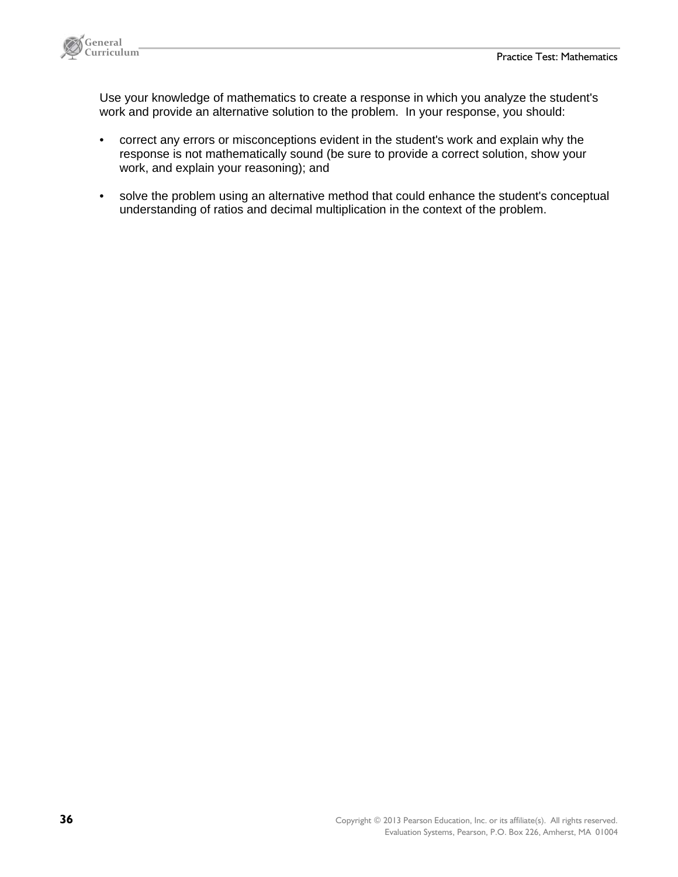

 Use your knowledge of mathematics to create a response in which you analyze the student's work and provide an alternative solution to the problem. In your response, you should:

- correct any errors or misconceptions evident in the student's work and explain why the response is not mathematically sound (be sure to provide a correct solution, show your work, and explain your reasoning); and
- solve the problem using an alternative method that could enhance the student's conceptual understanding of ratios and decimal multiplication in the context of the problem.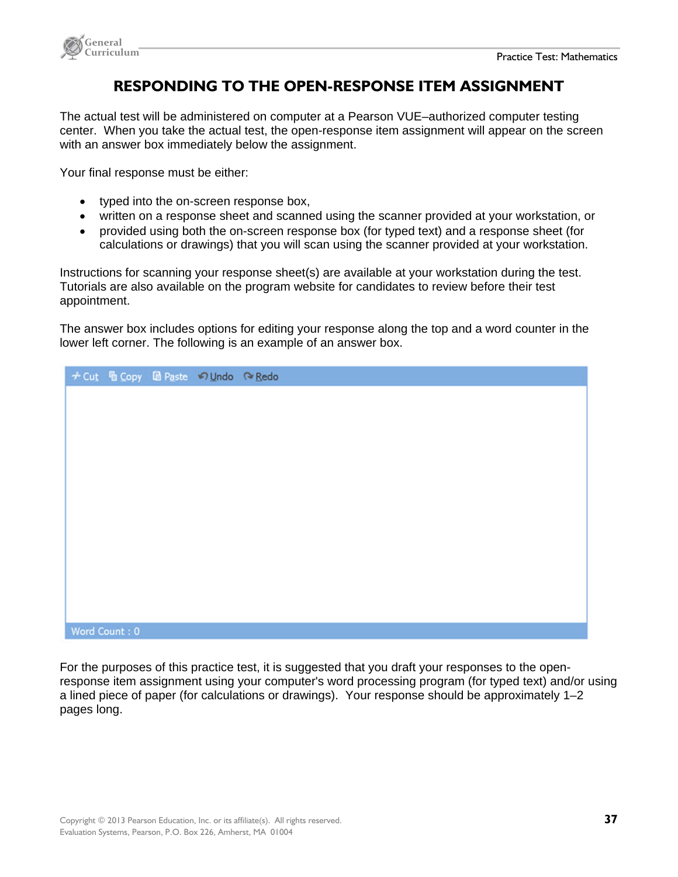

### **RESPONDING TO THE OPEN-RESPONSE ITEM ASSIGNMENT**

The actual test will be administered on computer at a Pearson VUE–authorized computer testing center. When you take the actual test, the open-response item assignment will appear on the screen with an answer box immediately below the assignment.

Your final response must be either:

- typed into the on-screen response box,
- written on a response sheet and scanned using the scanner provided at your workstation, or
- provided using both the on-screen response box (for typed text) and a response sheet (for calculations or drawings) that you will scan using the scanner provided at your workstation.

Instructions for scanning your response sheet(s) are available at your workstation during the test. Tutorials are also available on the program website for candidates to review before their test appointment.

The answer box includes options for editing your response along the top and a word counter in the lower left corner. The following is an example of an answer box.

|               | → Cut h Copy la Paste のUndo へRedo |  |
|---------------|-----------------------------------|--|
|               |                                   |  |
|               |                                   |  |
|               |                                   |  |
|               |                                   |  |
|               |                                   |  |
|               |                                   |  |
|               |                                   |  |
|               |                                   |  |
|               |                                   |  |
|               |                                   |  |
|               |                                   |  |
|               |                                   |  |
| Word Count: 0 |                                   |  |

For the purposes of this practice test, it is suggested that you draft your responses to the openresponse item assignment using your computer's word processing program (for typed text) and/or using a lined piece of paper (for calculations or drawings). Your response should be approximately 1–2 pages long.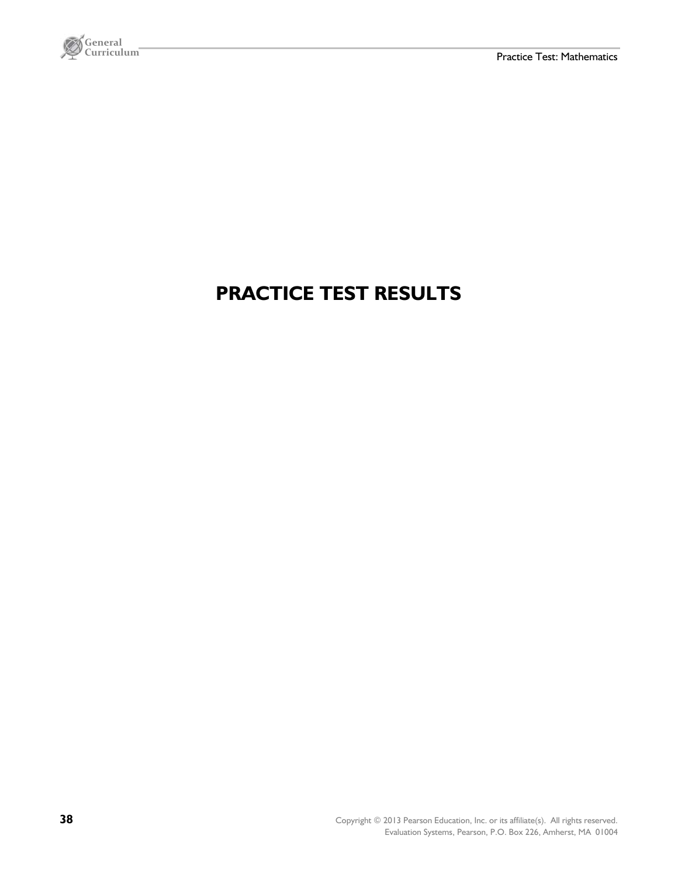

# **PRACTICE TEST RESULTS**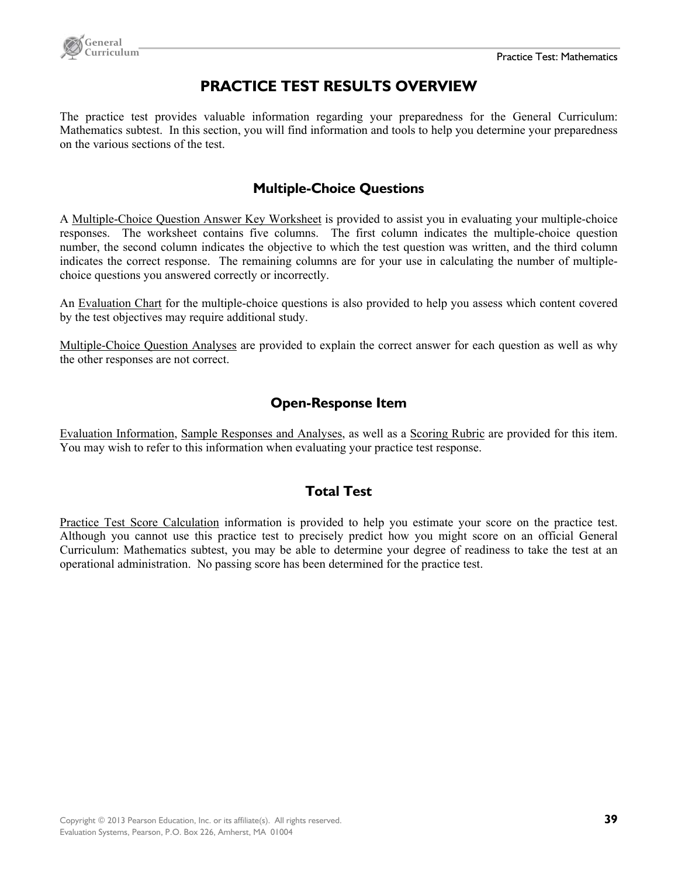

### **PRACTICE TEST RESULTS OVERVIEW**

The practice test provides valuable information regarding your preparedness for the General Curriculum: Mathematics subtest. In this section, you will find information and tools to help you determine your preparedness on the various sections of the test.

#### **Multiple-Choice Questions**

A Multiple-Choice Question Answer Key Worksheet is provided to assist you in evaluating your multiple-choice responses. The worksheet contains five columns. The first column indicates the multiple-choice question number, the second column indicates the objective to which the test question was written, and the third column indicates the correct response. The remaining columns are for your use in calculating the number of multiplechoice questions you answered correctly or incorrectly.

An Evaluation Chart for the multiple-choice questions is also provided to help you assess which content covered by the test objectives may require additional study.

Multiple-Choice Question Analyses are provided to explain the correct answer for each question as well as why the other responses are not correct.

#### **Open-Response Item**

Evaluation Information, Sample Responses and Analyses, as well as a Scoring Rubric are provided for this item. You may wish to refer to this information when evaluating your practice test response.

#### **Total Test**

Practice Test Score Calculation information is provided to help you estimate your score on the practice test. Although you cannot use this practice test to precisely predict how you might score on an official General Curriculum: Mathematics subtest, you may be able to determine your degree of readiness to take the test at an operational administration. No passing score has been determined for the practice test.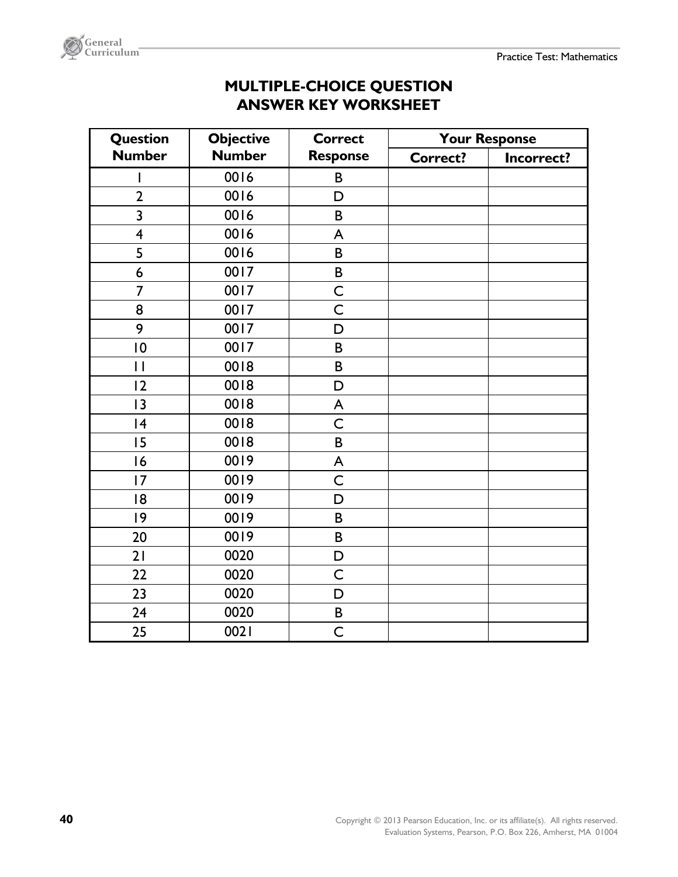

| <b>MULTIPLE-CHOICE QUESTION</b> |  |
|---------------------------------|--|
| <b>ANSWER KEY WORKSHEET</b>     |  |

| <b>Question</b>         | <b>Objective</b> | <b>Correct</b>  | <b>Your Response</b> |            |
|-------------------------|------------------|-----------------|----------------------|------------|
| <b>Number</b>           | <b>Number</b>    | <b>Response</b> | <b>Correct?</b>      | Incorrect? |
|                         | 0016             | B               |                      |            |
| $\overline{2}$          | 0016             | D               |                      |            |
| 3                       | 0016             | B               |                      |            |
| $\overline{\mathbf{4}}$ | 0016             | A               |                      |            |
| 5                       | 0016             | B               |                      |            |
| 6                       | 0017             | B               |                      |            |
| $\overline{7}$          | 0017             | C               |                      |            |
| 8                       | 0017             | $\mathsf C$     |                      |            |
| 9                       | 0017             | D               |                      |            |
| $\overline{0}$          | 0017             | B               |                      |            |
| $\mathbf{I}$            | 0018             | B               |                      |            |
| 12                      | 0018             | D               |                      |            |
| 3                       | 0018             | A               |                      |            |
| 4                       | 0018             | $\mathsf C$     |                      |            |
| 15                      | 0018             | $\sf{B}$        |                      |            |
| 16                      | 0019             | A               |                      |            |
| 17                      | 0019             | $\mathsf C$     |                      |            |
| 18                      | 0019             | D               |                      |            |
| 9                       | 0019             | B               |                      |            |
| 20                      | 0019             | B               |                      |            |
| 21                      | 0020             | $\mathsf D$     |                      |            |
| 22                      | 0020             | C               |                      |            |
| 23                      | 0020             | D               |                      |            |
| 24                      | 0020             | $\sf B$         |                      |            |
| 25                      | 0021             | $\mathsf C$     |                      |            |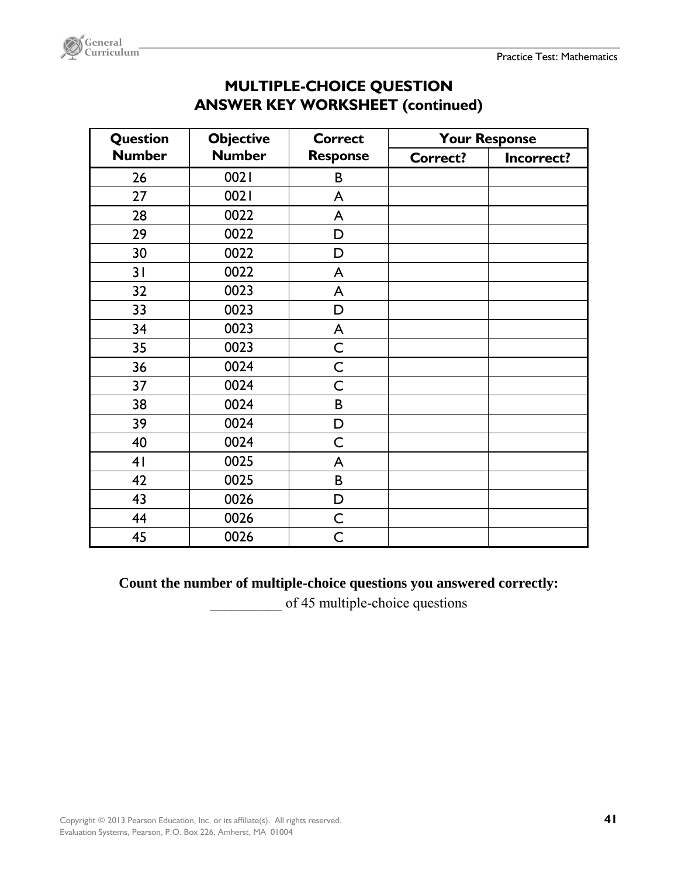

| Question       | <b>Objective</b> | <b>Correct</b>  | <b>Your Response</b> |            |
|----------------|------------------|-----------------|----------------------|------------|
| <b>Number</b>  | <b>Number</b>    | <b>Response</b> | <b>Correct?</b>      | Incorrect? |
| 26             | 0021             | B               |                      |            |
| 27             | 0021             | A               |                      |            |
| 28             | 0022             | A               |                      |            |
| 29             | 0022             | D               |                      |            |
| 30             | 0022             | D               |                      |            |
| 31             | 0022             | A               |                      |            |
| 32             | 0023             | A               |                      |            |
| 33             | 0023             | D               |                      |            |
| 34             | 0023             | A               |                      |            |
| 35             | 0023             | $\mathsf{C}$    |                      |            |
| 36             | 0024             | C               |                      |            |
| 37             | 0024             | C               |                      |            |
| 38             | 0024             | B               |                      |            |
| 39             | 0024             | D               |                      |            |
| 40             | 0024             | C               |                      |            |
| 4 <sub>1</sub> | 0025             | A               |                      |            |
| 42             | 0025             | B               |                      |            |
| 43             | 0026             | D               |                      |            |
| 44             | 0026             | $\mathsf C$     |                      |            |
| 45             | 0026             | C               |                      |            |

### **MULTIPLE-CHOICE QUESTION ANSWER KEY WORKSHEET (continued)**

#### **Count the number of multiple-choice questions you answered correctly:**

of 45 multiple-choice questions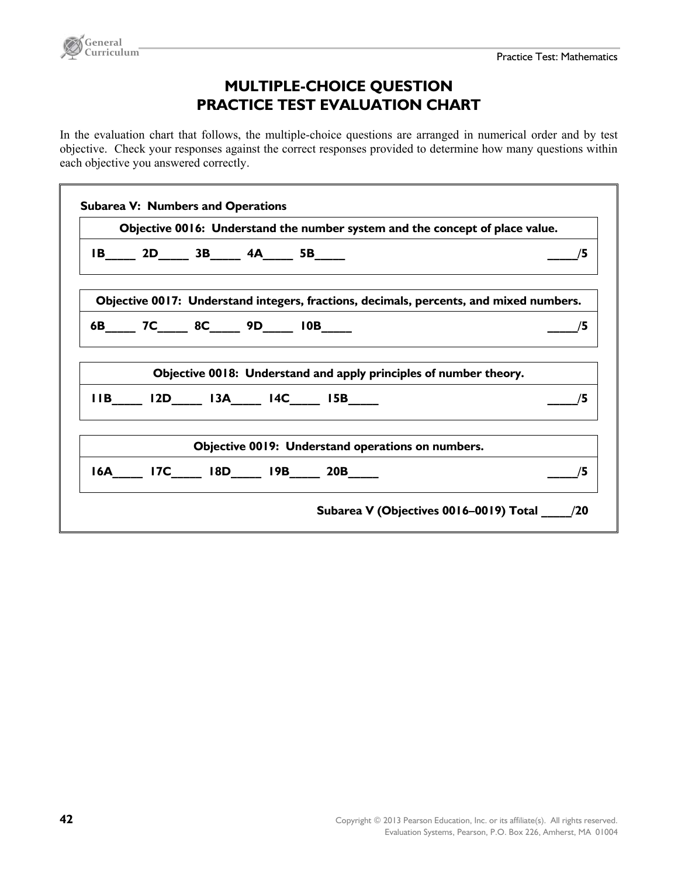

### **MULTIPLE-CHOICE QUESTION PRACTICE TEST EVALUATION CHART**

In the evaluation chart that follows, the multiple-choice questions are arranged in numerical order and by test objective. Check your responses against the correct responses provided to determine how many questions within each objective you answered correctly.

|  |                  | Objective 0016: Understand the number system and the concept of place value.                       |                                                                                        |
|--|------------------|----------------------------------------------------------------------------------------------------|----------------------------------------------------------------------------------------|
|  | $IB$ 2D 3B 4A 5B |                                                                                                    | /5                                                                                     |
|  |                  |                                                                                                    | Objective 0017: Understand integers, fractions, decimals, percents, and mixed numbers. |
|  | 6B 7C 8C 9D 10B  |                                                                                                    | $-$ /5                                                                                 |
|  |                  | Objective 0018: Understand and apply principles of number theory.<br>$11B$ $12D$ $13A$ $14C$ $15B$ | /5                                                                                     |
|  |                  |                                                                                                    |                                                                                        |
|  |                  | Objective 0019: Understand operations on numbers.                                                  |                                                                                        |
|  |                  | 16A 17C 18D 19B 20B                                                                                | /5                                                                                     |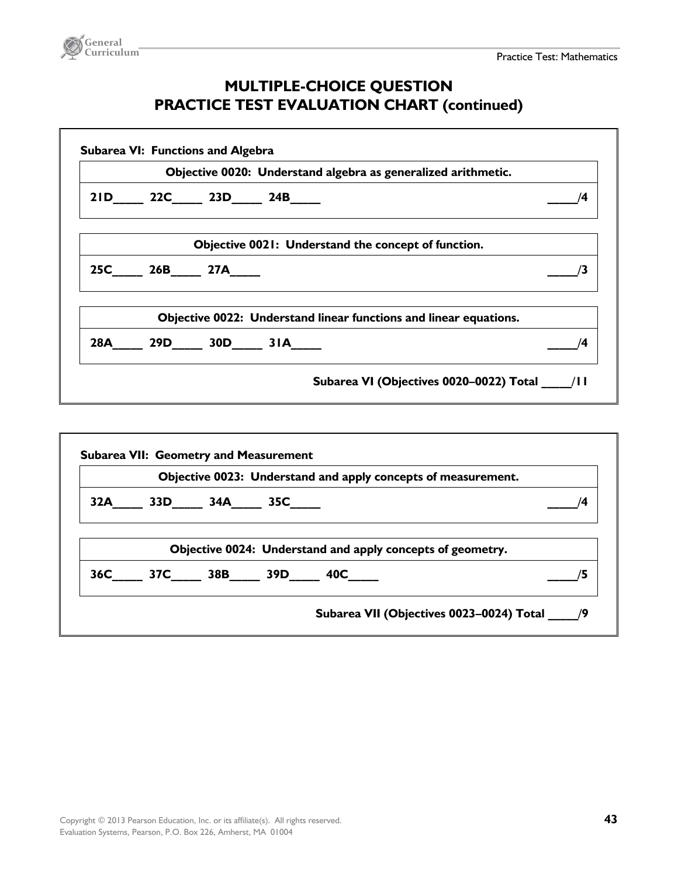

### **MULTIPLE-CHOICE QUESTION PRACTICE TEST EVALUATION CHART (continued)**

|  |                 | Objective 0020: Understand algebra as generalized arithmetic.     |                                             |
|--|-----------------|-------------------------------------------------------------------|---------------------------------------------|
|  | 21D 22C 23D 24B |                                                                   | /4                                          |
|  |                 | Objective 0021: Understand the concept of function.               |                                             |
|  | 25C 26B 27A     |                                                                   |                                             |
|  |                 | Objective 0022: Understand linear functions and linear equations. |                                             |
|  | 28A 29D 30D 31A |                                                                   | /4                                          |
|  |                 |                                                                   | Subarea VI (Objectives 0020-0022) Total /II |

|  |                 | Objective 0023: Understand and apply concepts of measurement. |  |
|--|-----------------|---------------------------------------------------------------|--|
|  | 32A 33D 34A 35C |                                                               |  |
|  |                 | Objective 0024: Understand and apply concepts of geometry.    |  |
|  |                 | 36C 37C 38B 39D 40C                                           |  |
|  |                 |                                                               |  |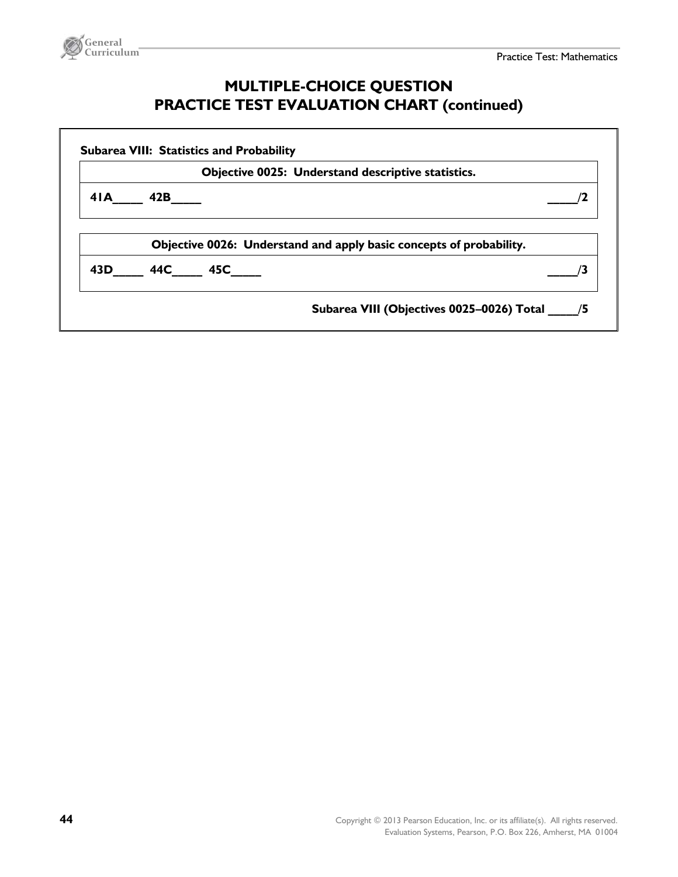

### **MULTIPLE-CHOICE QUESTION PRACTICE TEST EVALUATION CHART (continued)**

|                     | Objective 0025: Understand descriptive statistics.                  |
|---------------------|---------------------------------------------------------------------|
| $4I$ <b>A</b> $42B$ |                                                                     |
|                     | Objective 0026: Understand and apply basic concepts of probability. |
| 43D 44C 45C         |                                                                     |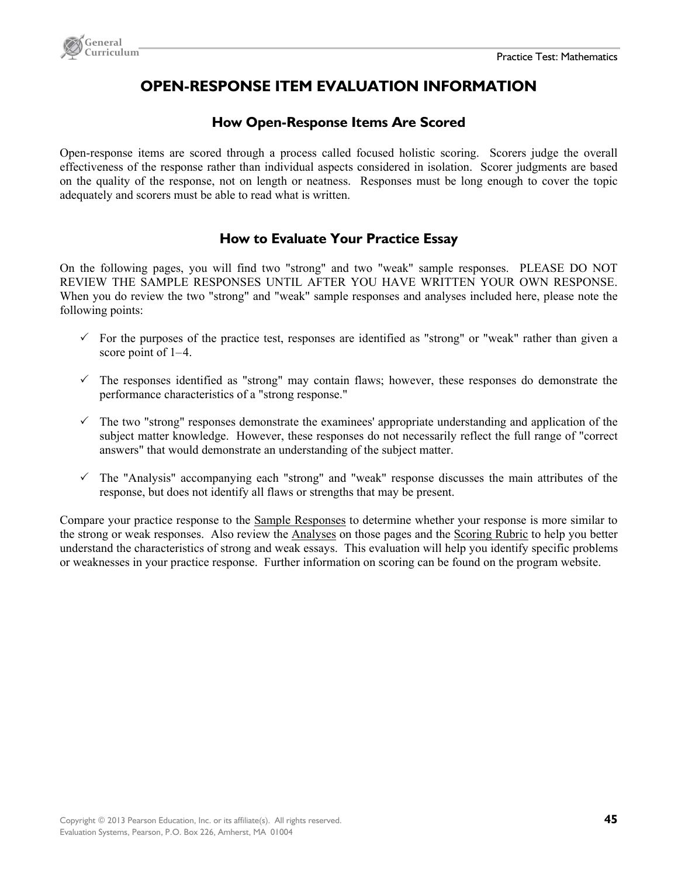

### **OPEN-RESPONSE ITEM EVALUATION INFORMATION**

#### **How Open-Response Items Are Scored**

Open-response items are scored through a process called focused holistic scoring. Scorers judge the overall effectiveness of the response rather than individual aspects considered in isolation. Scorer judgments are based on the quality of the response, not on length or neatness. Responses must be long enough to cover the topic adequately and scorers must be able to read what is written.

#### **How to Evaluate Your Practice Essay**

On the following pages, you will find two "strong" and two "weak" sample responses. PLEASE DO NOT REVIEW THE SAMPLE RESPONSES UNTIL AFTER YOU HAVE WRITTEN YOUR OWN RESPONSE. When you do review the two "strong" and "weak" sample responses and analyses included here, please note the following points:

- $\checkmark$  For the purposes of the practice test, responses are identified as "strong" or "weak" rather than given a score point of 1–4.
- $\checkmark$  The responses identified as "strong" may contain flaws; however, these responses do demonstrate the performance characteristics of a "strong response."
- $\checkmark$  The two "strong" responses demonstrate the examinees' appropriate understanding and application of the subject matter knowledge. However, these responses do not necessarily reflect the full range of "correct answers" that would demonstrate an understanding of the subject matter.
- $\checkmark$  The "Analysis" accompanying each "strong" and "weak" response discusses the main attributes of the response, but does not identify all flaws or strengths that may be present.

Compare your practice response to the Sample Responses to determine whether your response is more similar to the strong or weak responses. Also review the Analyses on those pages and the Scoring Rubric to help you better understand the characteristics of strong and weak essays. This evaluation will help you identify specific problems or weaknesses in your practice response. Further information on scoring can be found on the program website.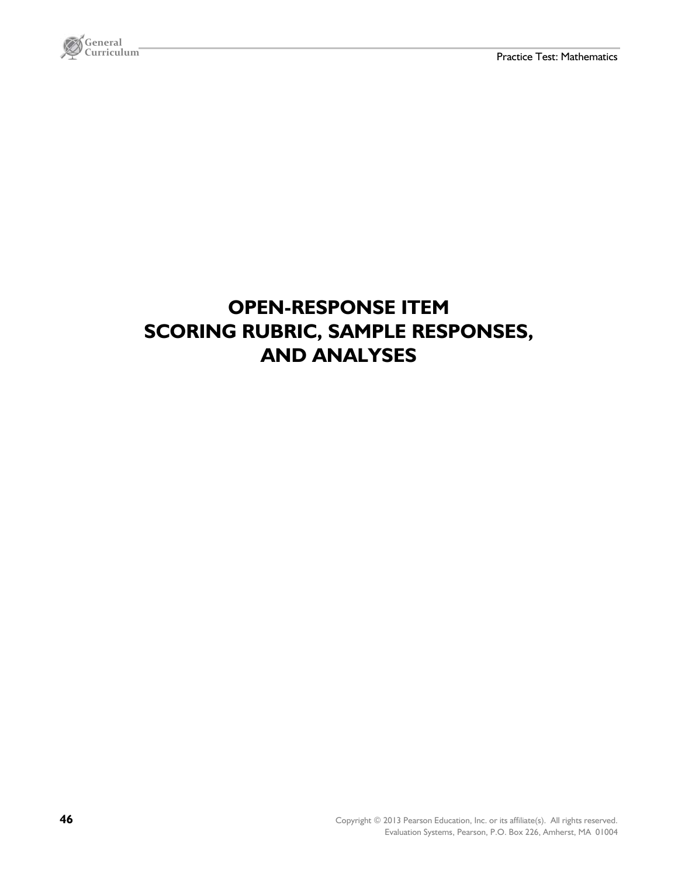

# **OPEN-RESPONSE ITEM SCORING RUBRIC, SAMPLE RESPONSES, AND ANALYSES**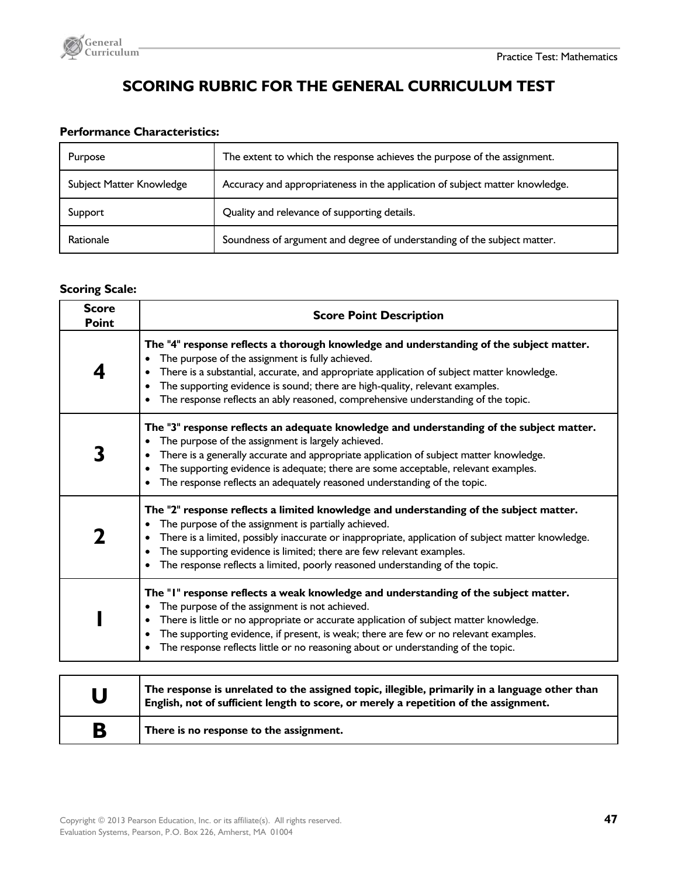

### **SCORING RUBRIC FOR THE GENERAL CURRICULUM TEST**

#### **Performance Characteristics:**

| Purpose                  | The extent to which the response achieves the purpose of the assignment.     |
|--------------------------|------------------------------------------------------------------------------|
| Subject Matter Knowledge | Accuracy and appropriateness in the application of subject matter knowledge. |
| Support                  | Quality and relevance of supporting details.                                 |
| Rationale                | Soundness of argument and degree of understanding of the subject matter.     |

#### **Scoring Scale:**

| <b>Score</b><br>Point | <b>Score Point Description</b>                                                                                                                                                                                                                                                                                                                                                                                 |
|-----------------------|----------------------------------------------------------------------------------------------------------------------------------------------------------------------------------------------------------------------------------------------------------------------------------------------------------------------------------------------------------------------------------------------------------------|
|                       | The "4" response reflects a thorough knowledge and understanding of the subject matter.<br>The purpose of the assignment is fully achieved.<br>There is a substantial, accurate, and appropriate application of subject matter knowledge.<br>The supporting evidence is sound; there are high-quality, relevant examples.<br>The response reflects an ably reasoned, comprehensive understanding of the topic. |
|                       | The "3" response reflects an adequate knowledge and understanding of the subject matter.<br>The purpose of the assignment is largely achieved.<br>There is a generally accurate and appropriate application of subject matter knowledge.<br>The supporting evidence is adequate; there are some acceptable, relevant examples.<br>The response reflects an adequately reasoned understanding of the topic.     |
|                       | The "2" response reflects a limited knowledge and understanding of the subject matter.<br>The purpose of the assignment is partially achieved.<br>There is a limited, possibly inaccurate or inappropriate, application of subject matter knowledge.<br>The supporting evidence is limited; there are few relevant examples.<br>The response reflects a limited, poorly reasoned understanding of the topic.   |
|                       | The "I" response reflects a weak knowledge and understanding of the subject matter.<br>The purpose of the assignment is not achieved.<br>There is little or no appropriate or accurate application of subject matter knowledge.<br>The supporting evidence, if present, is weak; there are few or no relevant examples.<br>The response reflects little or no reasoning about or understanding of the topic.   |
|                       |                                                                                                                                                                                                                                                                                                                                                                                                                |

| $\bigcup$ | The response is unrelated to the assigned topic, illegible, primarily in a language other than<br>English, not of sufficient length to score, or merely a repetition of the assignment. |
|-----------|-----------------------------------------------------------------------------------------------------------------------------------------------------------------------------------------|
| B         | There is no response to the assignment.                                                                                                                                                 |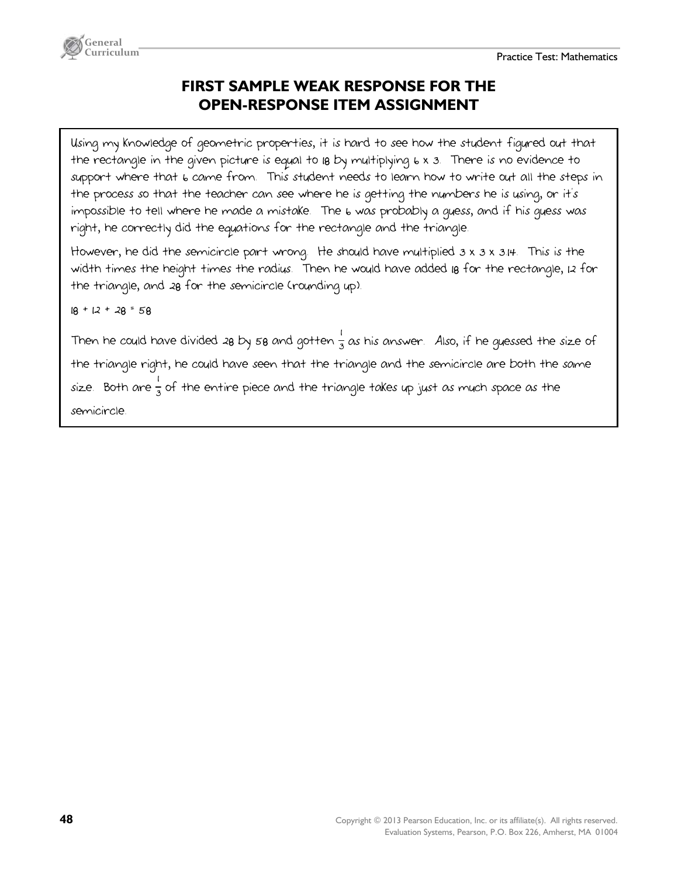

### **FIRST SAMPLE WEAK RESPONSE FOR THE OPEN-RESPONSE ITEM ASSIGNMENT**

Using my knowledge of geometric properties, it is hard to see how the student figured out that the rectangle in the given picture is equal to 18 by multiplying 6 x 3. There is no evidence to support where that 6 came from. This student needs to learn how to write out all the steps in the process so that the teacher can see where he is getting the numbers he is using, or it's impossible to tell where he made a mistake. The 6 was probably a guess, and if his guess was right, he correctly did the equations for the rectangle and the triangle.

However, he did the semicircle part wrong. He should have multiplied 3 x 3 x 3.14. This is the width times the height times the radius. Then he would have added 18 for the rectangle, 12 for the triangle, and 28 for the semicircle (rounding up).

 $18 + 12 + 28 = 58$ 

Then he could have divided 28 by 58 and gotten  $\frac{1}{3}$  as his answer. Also, if he guessed the size of the triangle right, he could have seen that the triangle and the semicircle are both the same size. Both are  $\frac{1}{3}$  ot the entire piece and the triangle takes up just as much space as the  $\,$ 1 semicircle.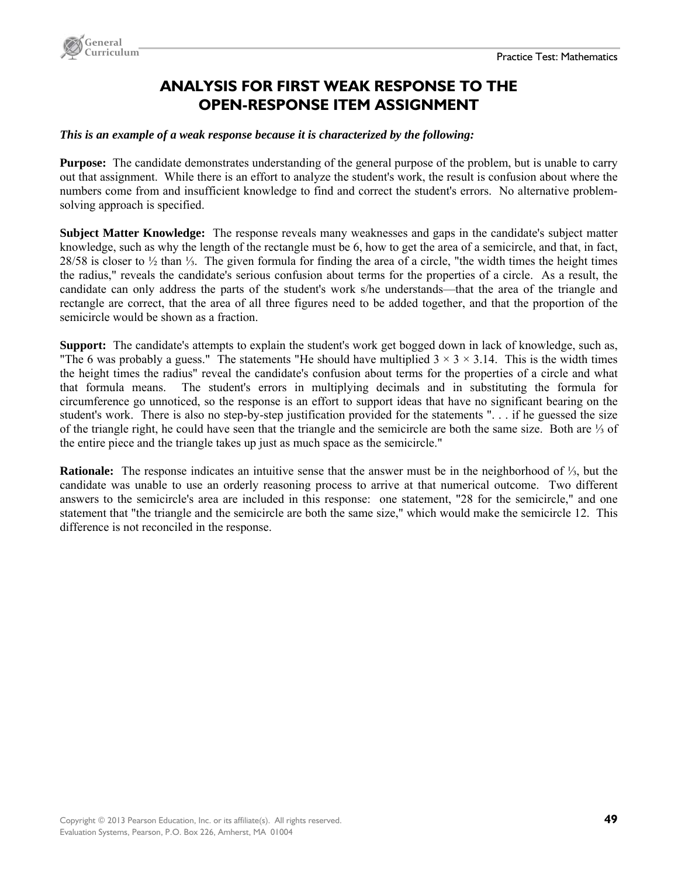

### **ANALYSIS FOR FIRST WEAK RESPONSE TO THE OPEN-RESPONSE ITEM ASSIGNMENT**

#### *This is an example of a weak response because it is characterized by the following:*

**Purpose:** The candidate demonstrates understanding of the general purpose of the problem, but is unable to carry out that assignment. While there is an effort to analyze the student's work, the result is confusion about where the numbers come from and insufficient knowledge to find and correct the student's errors. No alternative problemsolving approach is specified.

**Subject Matter Knowledge:** The response reveals many weaknesses and gaps in the candidate's subject matter knowledge, such as why the length of the rectangle must be 6, how to get the area of a semicircle, and that, in fact, 28/58 is closer to ½ than ⅓. The given formula for finding the area of a circle, "the width times the height times the radius," reveals the candidate's serious confusion about terms for the properties of a circle. As a result, the candidate can only address the parts of the student's work s/he understands—that the area of the triangle and rectangle are correct, that the area of all three figures need to be added together, and that the proportion of the semicircle would be shown as a fraction.

**Support:** The candidate's attempts to explain the student's work get bogged down in lack of knowledge, such as, "The 6 was probably a guess." The statements "He should have multiplied  $3 \times 3 \times 3.14$ . This is the width times the height times the radius" reveal the candidate's confusion about terms for the properties of a circle and what that formula means. The student's errors in multiplying decimals and in substituting the formula for circumference go unnoticed, so the response is an effort to support ideas that have no significant bearing on the student's work. There is also no step-by-step justification provided for the statements ". . . if he guessed the size of the triangle right, he could have seen that the triangle and the semicircle are both the same size. Both are ⅓ of the entire piece and the triangle takes up just as much space as the semicircle."

**Rationale:** The response indicates an intuitive sense that the answer must be in the neighborhood of ⅓, but the candidate was unable to use an orderly reasoning process to arrive at that numerical outcome. Two different answers to the semicircle's area are included in this response: one statement, "28 for the semicircle," and one statement that "the triangle and the semicircle are both the same size," which would make the semicircle 12. This difference is not reconciled in the response.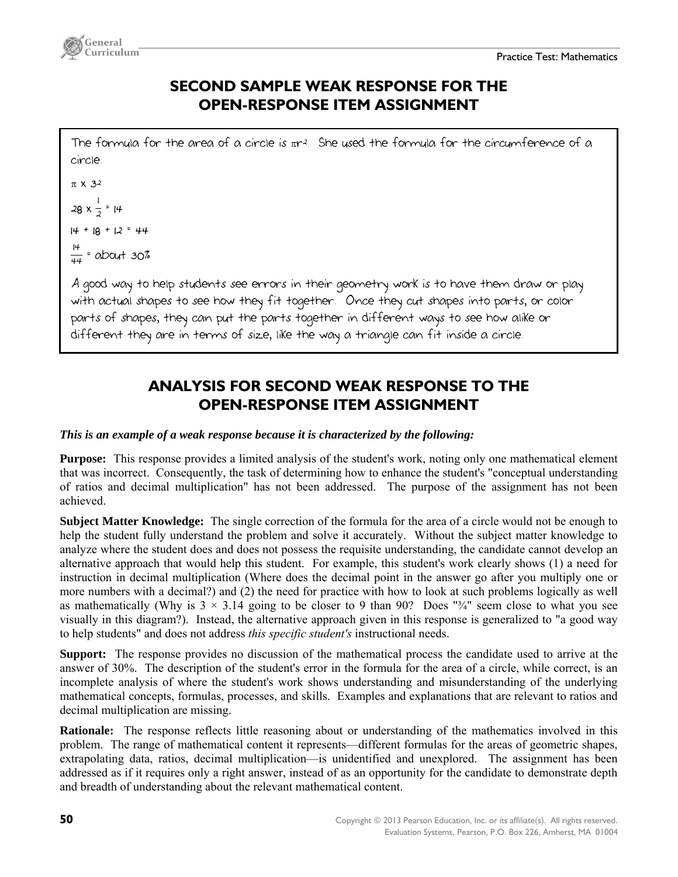

### **SECOND SAMPLE WEAK RESPONSE FOR THE OPEN-RESPONSE ITEM ASSIGNMENT**

The formula for the area of a circle is  $\pi r^2$ . She used the formula for the circumference of a circle.

 $\pi$  X 3<sup>2</sup>  $28 \times \frac{1}{2}$  = 14 |<br>|<br>|  $14 + 18 + 12 = 44$  $\frac{14}{44}$  = about 30%

A good way to help students see errors in their geometry work is to have them draw or play with actual shapes to see how they fit together. Once they cut shapes into parts, or color parts of shapes, they can put the parts together in different ways to see how alike or different they are in terms of size, like the way a triangle can fit inside a circle.

### **ANALYSIS FOR SECOND WEAK RESPONSE TO THE OPEN-RESPONSE ITEM ASSIGNMENT**

#### *This is an example of a weak response because it is characterized by the following:*

**Purpose:** This response provides a limited analysis of the student's work, noting only one mathematical element that was incorrect. Consequently, the task of determining how to enhance the student's "conceptual understanding of ratios and decimal multiplication" has not been addressed. The purpose of the assignment has not been achieved.

**Subject Matter Knowledge:** The single correction of the formula for the area of a circle would not be enough to help the student fully understand the problem and solve it accurately. Without the subject matter knowledge to analyze where the student does and does not possess the requisite understanding, the candidate cannot develop an alternative approach that would help this student. For example, this student's work clearly shows (1) a need for instruction in decimal multiplication (Where does the decimal point in the answer go after you multiply one or more numbers with a decimal?) and (2) the need for practice with how to look at such problems logically as well as mathematically (Why is  $3 \times 3.14$  going to be closer to 9 than 90? Does " $\frac{3}{4}$ " seem close to what you see visually in this diagram?). Instead, the alternative approach given in this response is generalized to "a good way to help students" and does not address *this specific student's* instructional needs.

**Support:** The response provides no discussion of the mathematical process the candidate used to arrive at the answer of 30%. The description of the student's error in the formula for the area of a circle, while correct, is an incomplete analysis of where the student's work shows understanding and misunderstanding of the underlying mathematical concepts, formulas, processes, and skills. Examples and explanations that are relevant to ratios and decimal multiplication are missing.

**Rationale:** The response reflects little reasoning about or understanding of the mathematics involved in this problem. The range of mathematical content it represents—different formulas for the areas of geometric shapes, extrapolating data, ratios, decimal multiplication—is unidentified and unexplored. The assignment has been addressed as if it requires only a right answer, instead of as an opportunity for the candidate to demonstrate depth and breadth of understanding about the relevant mathematical content.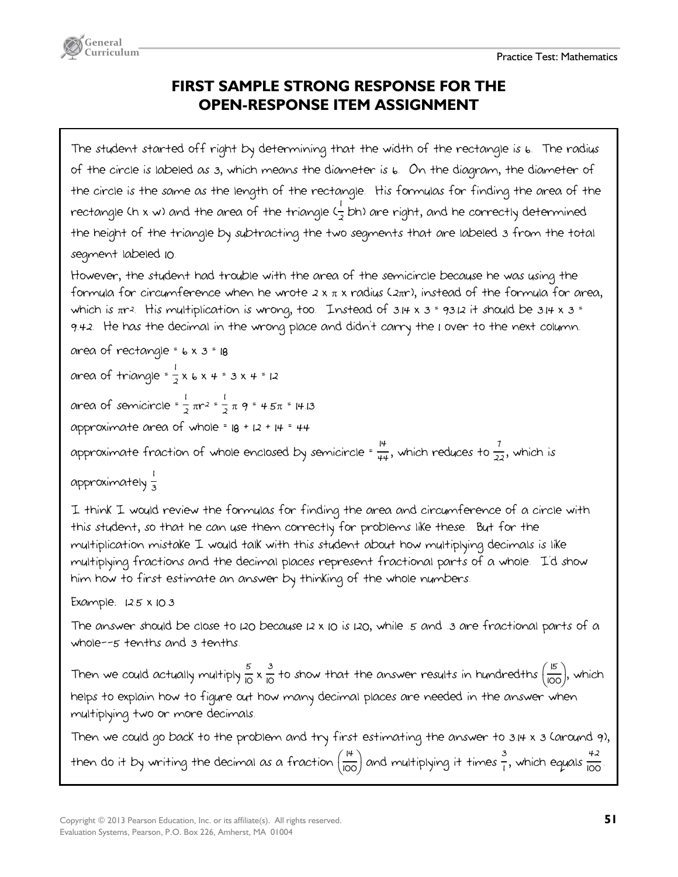

### **FIRST SAMPLE STRONG RESPONSE FOR THE OPEN-RESPONSE ITEM ASSIGNMENT**

The student started off right by determining that the width of the rectangle is 6. The radius of the circle is labeled as 3, which means the diameter is 6. On the diagram, the diameter of the circle is the same as the length of the rectangle. His formulas for finding the area of the rectangle (h x w) and the area of the triangle ( $\frac{1}{2}$  bh) are right, and he correctly determined the height of the triangle by subtracting the two segments that are labeled 3 from the total segment labeled 10.

However, the student had trouble with the area of the semicircle because he was using the formula for circumference when he wrote  $2 \times \pi \times$  radius ( $2\pi r$ ), instead of the formula for area, which is  $\pi r^2$ . His multiplication is wrong, too. Instead of  $3.14 \times 3 = 93.12$  it should be  $3.14 \times 3 =$ 9.42. He has the decimal in the wrong place and didn't carry the 1 over to the next column.

area of rectangle =  $6 \times 3 = 18$ 

area of triangle =  $\frac{1}{2}x 6x + 3x + 12$ 

area of semicircle =  $\frac{1}{2} \pi r^2 = \frac{1}{2} \pi g = 4.5\pi = 14.13$ 1

approximate area of whole =  $18 + 12 + 14 = 44$ 

approximate fraction of whole enclosed by semicircle  $\frac{14}{44}$ , which reduces to  $\frac{7}{22}$ , which is

approximately <sub>3</sub> |<br>|<br>|

I think I would review the formulas for finding the area and circumference of a circle with this student, so that he can use them correctly for problems like these. But for the multiplication mistake I would talk with this student about how multiplying decimals is like multiplying fractions and the decimal places represent fractional parts of a whole. I'd show him how to first estimate an answer by thinking of the whole numbers.

Example: 12.5 x 10.3

The answer should be close to 120 because 12 x 10 is 120, while .5 and .3 are fractional parts of a whole--5 tenths and 3 tenths.

Then we could actually multiply  $\frac{5}{10} \times \frac{3}{10}$  to show that the answer results in hundredths  $\left(\frac{15}{100}\right)$ , which helps to explain how to figure out how many decimal places are needed in the answer when multiplying two or more decimals.

Then we could go back to the problem and try first estimating the answer to 3.14 x 3 (around 9), then do it by writing the decimal as a fraction  $\frac{14}{100}$  and multiplying it times  $\frac{3}{1}$ , which equals  $\frac{42}{100}$ .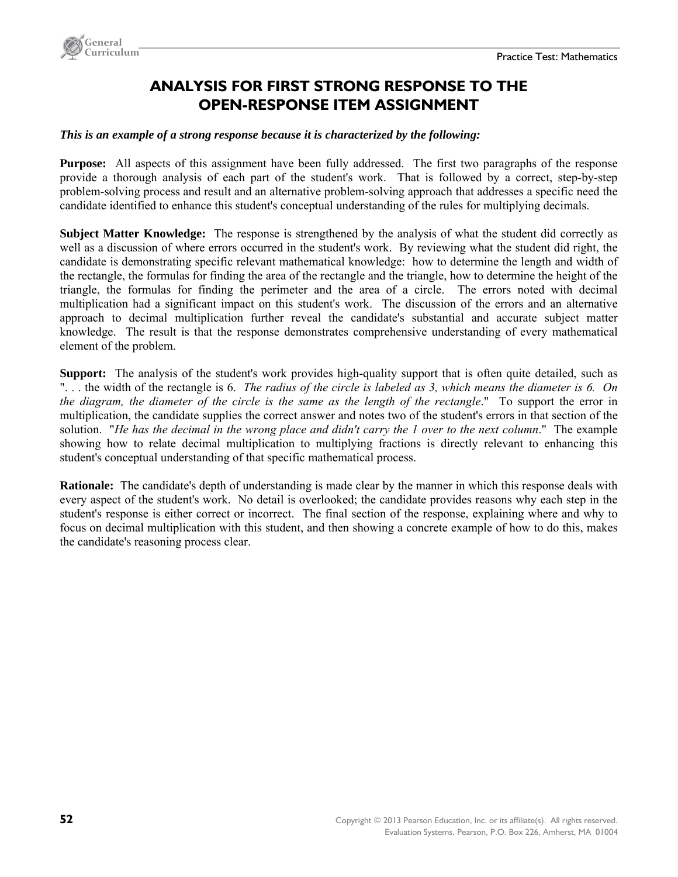

### **ANALYSIS FOR FIRST STRONG RESPONSE TO THE OPEN-RESPONSE ITEM ASSIGNMENT**

#### *This is an example of a strong response because it is characterized by the following:*

**Purpose:** All aspects of this assignment have been fully addressed. The first two paragraphs of the response provide a thorough analysis of each part of the student's work. That is followed by a correct, step-by-step problem-solving process and result and an alternative problem-solving approach that addresses a specific need the candidate identified to enhance this student's conceptual understanding of the rules for multiplying decimals.

**Subject Matter Knowledge:** The response is strengthened by the analysis of what the student did correctly as well as a discussion of where errors occurred in the student's work. By reviewing what the student did right, the candidate is demonstrating specific relevant mathematical knowledge: how to determine the length and width of the rectangle, the formulas for finding the area of the rectangle and the triangle, how to determine the height of the triangle, the formulas for finding the perimeter and the area of a circle. The errors noted with decimal multiplication had a significant impact on this student's work. The discussion of the errors and an alternative approach to decimal multiplication further reveal the candidate's substantial and accurate subject matter knowledge. The result is that the response demonstrates comprehensive understanding of every mathematical element of the problem.

**Support:** The analysis of the student's work provides high-quality support that is often quite detailed, such as ". . . the width of the rectangle is 6. *The radius of the circle is labeled as 3, which means the diameter is 6. On the diagram, the diameter of the circle is the same as the length of the rectangle*." To support the error in multiplication, the candidate supplies the correct answer and notes two of the student's errors in that section of the solution. "*He has the decimal in the wrong place and didn't carry the 1 over to the next column*." The example showing how to relate decimal multiplication to multiplying fractions is directly relevant to enhancing this student's conceptual understanding of that specific mathematical process.

**Rationale:** The candidate's depth of understanding is made clear by the manner in which this response deals with every aspect of the student's work. No detail is overlooked; the candidate provides reasons why each step in the student's response is either correct or incorrect. The final section of the response, explaining where and why to focus on decimal multiplication with this student, and then showing a concrete example of how to do this, makes the candidate's reasoning process clear.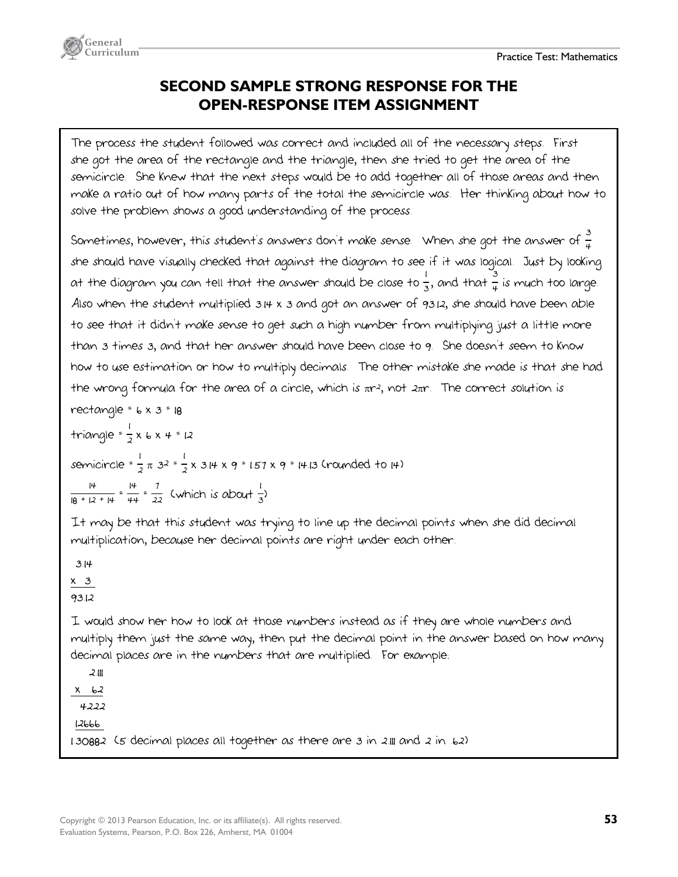

### **SECOND SAMPLE STRONG RESPONSE FOR THE OPEN-RESPONSE ITEM ASSIGNMENT**

The process the student followed was correct and included all of the necessary steps. First she got the area of the rectangle and the triangle, then she tried to get the area of the semicircle. She knew that the next steps would be to add together all of those areas and then make a ratio out of how many parts of the total the semicircle was. Her thinking about how to solve the problem shows a good understanding of the process.

Sometimes, however, thi*s stu*dent*'s ans*wers don't make sense. When she got the answer of  $\frac{3}{4}$ she should have visually checked that against the diagram to see if it was logical. Just by looking at the diagram you can tell that the answer should be close to  $\frac{1}{3}$ , and that  $\frac{3}{4}$  is much too large. Also when the student multiplied 3.14 x 3 and got an answer of 93.12, she should have been able to see that it didn't make sense to get such a high number from multiplying just a little more than 3 times 3, and that her answer should have been close to 9. She doesn't seem to know how to use estimation or how to multiply decimals. The other mistake she made is that she had the wrong formula for the area of a circle, which is  $\pi r$ , not  $2\pi r$ . The correct solution is

rectangle =  $6 \times 3 = 18$ triangle = <sup>2</sup> x 6 x 4 = 12 |<br>|<br>| semicircle =  $\frac{1}{2} \pi$  32 =  $\frac{1}{2}$  x 3.14 x 9 = 1.57 x 9 = 14.13 (rounded to 14) 1 |<br>|<br>|  $\frac{14}{18 + 12 + 14} = \frac{14}{44} = \frac{7}{22}$  (which is about  $\frac{1}{3}$ ) 1

It may be that this student was trying to line up the decimal points when she did decimal multiplication, because her decimal points are right under each other.

 3.14  $x \quad 3$ 93.12 I would show her how to look at those numbers instead as if they are whole numbers and multiply them just the same way, then put the decimal point in the answer based on how many decimal places are in the numbers that are multiplied. For example:

 $2.11$  $x \t b2$ 

4222

12666

1.30882 (5 decimal places all together as there are 3 in 2.111 and 2 in .62)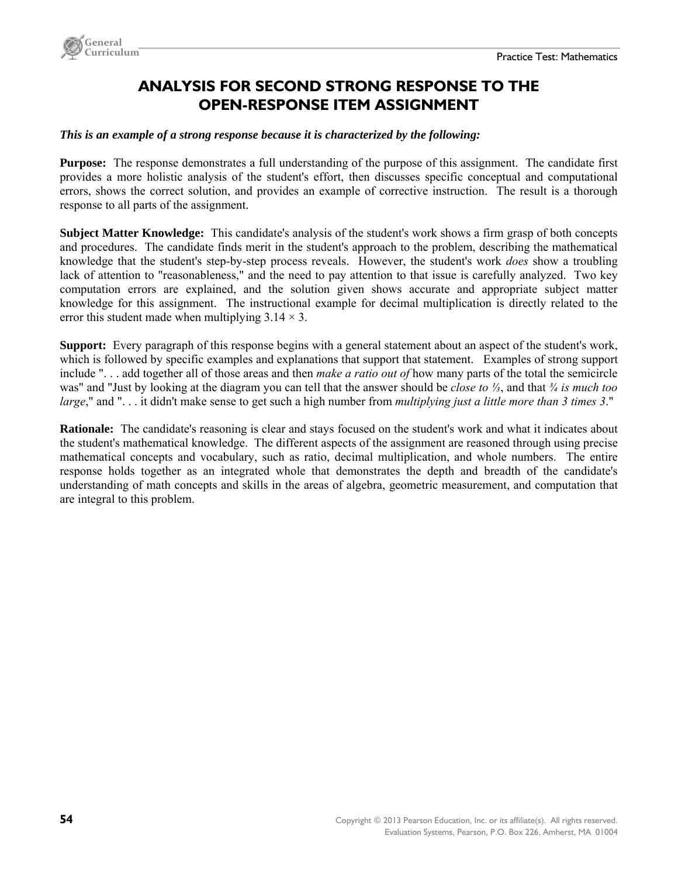

### **ANALYSIS FOR SECOND STRONG RESPONSE TO THE OPEN-RESPONSE ITEM ASSIGNMENT**

#### *This is an example of a strong response because it is characterized by the following:*

**Purpose:** The response demonstrates a full understanding of the purpose of this assignment. The candidate first provides a more holistic analysis of the student's effort, then discusses specific conceptual and computational errors, shows the correct solution, and provides an example of corrective instruction. The result is a thorough response to all parts of the assignment.

**Subject Matter Knowledge:** This candidate's analysis of the student's work shows a firm grasp of both concepts and procedures. The candidate finds merit in the student's approach to the problem, describing the mathematical knowledge that the student's step-by-step process reveals. However, the student's work *does* show a troubling lack of attention to "reasonableness," and the need to pay attention to that issue is carefully analyzed. Two key computation errors are explained, and the solution given shows accurate and appropriate subject matter knowledge for this assignment. The instructional example for decimal multiplication is directly related to the error this student made when multiplying  $3.14 \times 3$ .

**Support:** Every paragraph of this response begins with a general statement about an aspect of the student's work, which is followed by specific examples and explanations that support that statement. Examples of strong support include ". . . add together all of those areas and then *make a ratio out of* how many parts of the total the semicircle was" and "Just by looking at the diagram you can tell that the answer should be *close to ⅓*, and that *¾ is much too large*," and ". . . it didn't make sense to get such a high number from *multiplying just a little more than 3 times 3*."

**Rationale:** The candidate's reasoning is clear and stays focused on the student's work and what it indicates about the student's mathematical knowledge. The different aspects of the assignment are reasoned through using precise mathematical concepts and vocabulary, such as ratio, decimal multiplication, and whole numbers. The entire response holds together as an integrated whole that demonstrates the depth and breadth of the candidate's understanding of math concepts and skills in the areas of algebra, geometric measurement, and computation that are integral to this problem.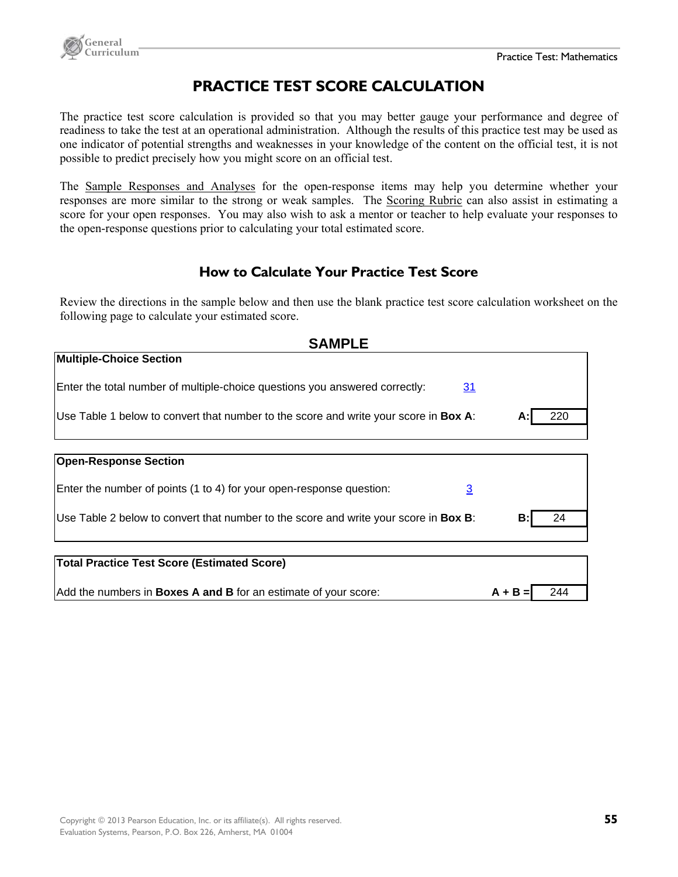



### **PRACTICE TEST SCORE CALCULATION**

The practice test score calculation is provided so that you may better gauge your performance and degree of readiness to take the test at an operational administration. Although the results of this practice test may be used as one indicator of potential strengths and weaknesses in your knowledge of the content on the official test, it is not possible to predict precisely how you might score on an official test.

The Sample Responses and Analyses for the open-response items may help you determine whether your responses are more similar to the strong or weak samples. The Scoring Rubric can also assist in estimating a score for your open responses. You may also wish to ask a mentor or teacher to help evaluate your responses to the open-response questions prior to calculating your total estimated score.

#### **How to Calculate Your Practice Test Score**

Review the directions in the sample below and then use the blank practice test score calculation worksheet on the following page to calculate your estimated score.

| <b>SAMPLE</b>                                                                                |           |     |
|----------------------------------------------------------------------------------------------|-----------|-----|
| <b>Multiple-Choice Section</b>                                                               |           |     |
| Enter the total number of multiple-choice questions you answered correctly:<br>31            |           |     |
| Use Table 1 below to convert that number to the score and write your score in Box A:         | А:        | 220 |
|                                                                                              |           |     |
| <b>Open-Response Section</b>                                                                 |           |     |
| Enter the number of points (1 to 4) for your open-response question:<br>$\overline{3}$       |           |     |
| Use Table 2 below to convert that number to the score and write your score in <b>Box B</b> : | B:        | 24  |
| Total Practice Test Score (Estimated Score)                                                  |           |     |
|                                                                                              |           |     |
| Add the numbers in <b>Boxes A and B</b> for an estimate of your score:                       | $A + B =$ | 244 |